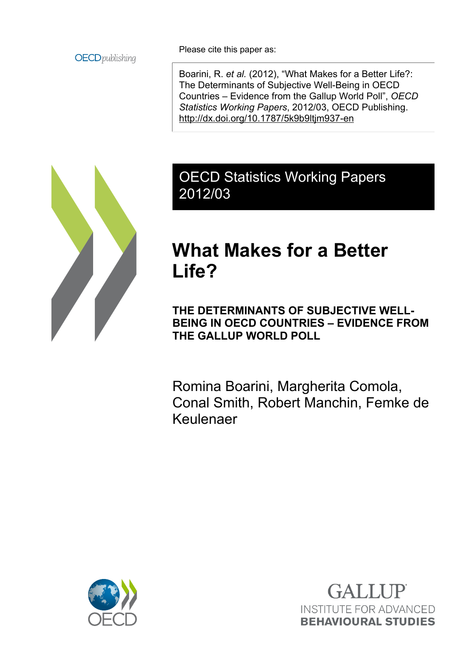

Please cite this paper as:

Boarini, R. *et al.* (2012), "What Makes for a Better Life?: The Determinants of Subjective Well-Being in OECD Countries – Evidence from the Gallup World Poll", *OECD Statistics Working Papers*, 2012/03, OECD Publishing. <http://dx.doi.org/10.1787/5k9b9ltjm937-en>



# OECD Statistics Working Papers 2012/03

# **What Makes for a Better Life?**

**THE DETERMINANTS OF SUBJECTIVE WELL-BEING IN OECD COUNTRIES – EVIDENCE FROM THE GALLUP WORLD POLL**

Romina Boarini, Margherita Comola, Conal Smith, Robert Manchin, Femke de Keulenaer



**GALLUP INSTITUTE FOR ADVANCED BEHAVIOURAL STUDIES**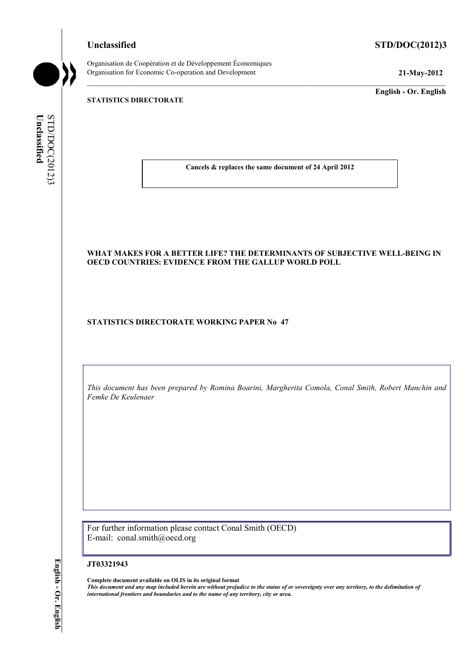**Unclassified STD/DOC(2012)3**

Organisation de Coopération et de Développement Économiques Organisation for Economic Co-operation and Development **21-May-2012** 

**English - Or. English** 

### **STATISTICS DIRECTORATE**

STD/DOC(2012)3 Unclassified **Unclassified**  STD/DOC(2012)3

**Cancels & replaces the same document of 24 April 2012** 

#### **WHAT MAKES FOR A BETTER LIFE? THE DETERMINANTS OF SUBJECTIVE WELL-BEING IN OECD COUNTRIES: EVIDENCE FROM THE GALLUP WORLD POLL**

# **STATISTICS DIRECTORATE WORKING PAPER No 47**

*This document has been prepared by Romina Boarini, Margherita Comola, Conal Smith, Robert Manchin and Femke De Keulenaer* 

For further information please contact Conal Smith (OECD) E-mail: conal.smith@oecd.org

#### **JT03321943**

**Complete document available on OLIS in its original format** *This document and any map included herein are without prejudice to the status of or sovereignty over any territory, to the delimitation of international frontiers and boundaries and to the name of any territory, city or area.*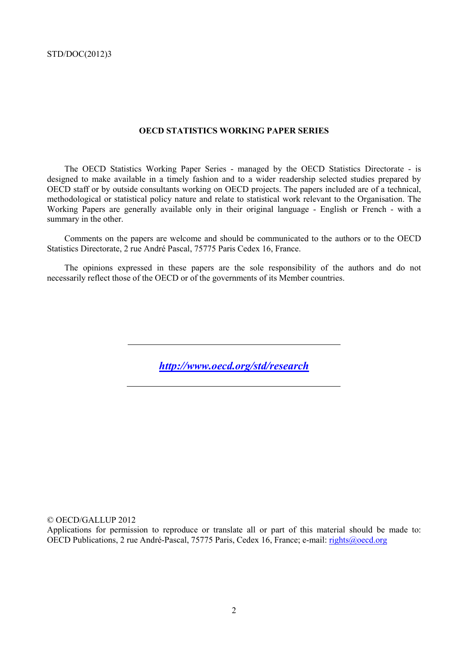#### **OECD STATISTICS WORKING PAPER SERIES**

The OECD Statistics Working Paper Series - managed by the OECD Statistics Directorate - is designed to make available in a timely fashion and to a wider readership selected studies prepared by OECD staff or by outside consultants working on OECD projects. The papers included are of a technical, methodological or statistical policy nature and relate to statistical work relevant to the Organisation. The Working Papers are generally available only in their original language - English or French - with a summary in the other.

Comments on the papers are welcome and should be communicated to the authors or to the OECD Statistics Directorate, 2 rue André Pascal, 75775 Paris Cedex 16, France.

The opinions expressed in these papers are the sole responsibility of the authors and do not necessarily reflect those of the OECD or of the governments of its Member countries.

*http://www.oecd.org/std/research*

#### © OECD/GALLUP 2012

Applications for permission to reproduce or translate all or part of this material should be made to: OECD Publications, 2 rue André-Pascal, 75775 Paris, Cedex 16, France; e-mail: rights@oecd.org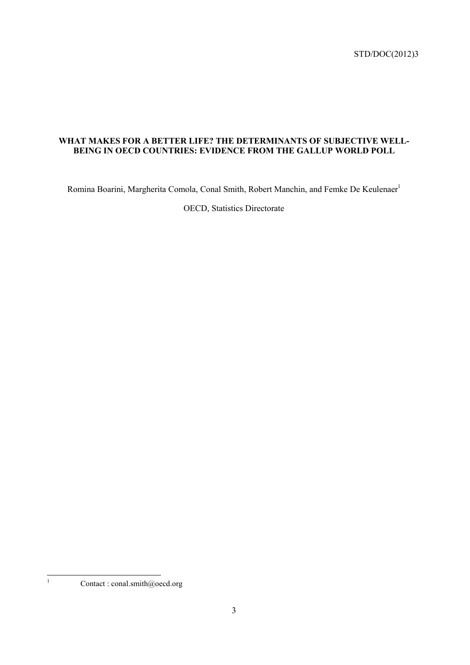# **WHAT MAKES FOR A BETTER LIFE? THE DETERMINANTS OF SUBJECTIVE WELL-BEING IN OECD COUNTRIES: EVIDENCE FROM THE GALLUP WORLD POLL**

Romina Boarini, Margherita Comola, Conal Smith, Robert Manchin, and Femke De Keulenaer<sup>1</sup>

OECD, Statistics Directorate

Contact : conal.smith@oecd.org

|<br>|<br>|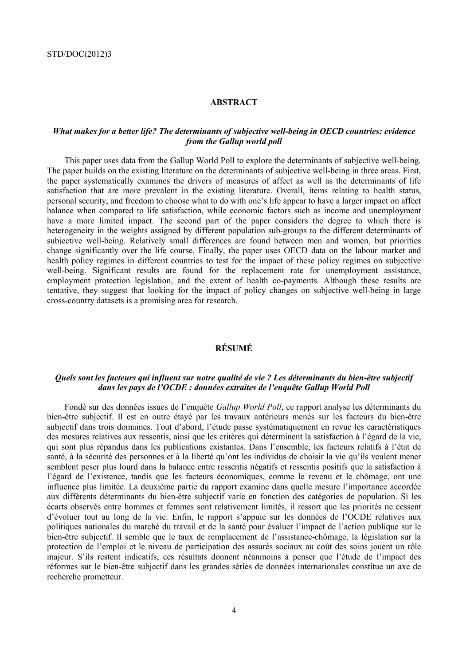#### **ABSTRACT**

#### *What makes for a better life? The determinants of subjective well-being in OECD countries: evidence from the Gallup world poll*

This paper uses data from the Gallup World Poll to explore the determinants of subjective well-being. The paper builds on the existing literature on the determinants of subjective well-being in three areas. First, the paper systematically examines the drivers of measures of affect as well as the determinants of life satisfaction that are more prevalent in the existing literature. Overall, items relating to health status, personal security, and freedom to choose what to do with one's life appear to have a larger impact on affect balance when compared to life satisfaction, while economic factors such as income and unemployment have a more limited impact. The second part of the paper considers the degree to which there is heterogeneity in the weights assigned by different population sub-groups to the different determinants of subjective well-being. Relatively small differences are found between men and women, but priorities change significantly over the life course. Finally, the paper uses OECD data on the labour market and health policy regimes in different countries to test for the impact of these policy regimes on subjective well-being. Significant results are found for the replacement rate for unemployment assistance, employment protection legislation, and the extent of health co-payments. Although these results are tentative, they suggest that looking for the impact of policy changes on subjective well-being in large cross-country datasets is a promising area for research.

### **RÉSUMÉ**

# *Quels sont les facteurs qui influent sur notre qualité de vie ? Les déterminants du bien-être subjectif dans les pays de l'OCDE : données extraites de l'enquête Gallup World Poll*

Fondé sur des données issues de l'enquête *Gallup World Poll*, ce rapport analyse les déterminants du bien-être subjectif. Il est en outre étayé par les travaux antérieurs menés sur les facteurs du bien-être subjectif dans trois domaines. Tout d'abord, l'étude passe systématiquement en revue les caractéristiques des mesures relatives aux ressentis, ainsi que les critères qui déterminent la satisfaction à l'égard de la vie, qui sont plus répandus dans les publications existantes. Dans l'ensemble, les facteurs relatifs à l'état de santé, à la sécurité des personnes et à la liberté qu'ont les individus de choisir la vie qu'ils veulent mener semblent peser plus lourd dans la balance entre ressentis négatifs et ressentis positifs que la satisfaction à l'égard de l'existence, tandis que les facteurs économiques, comme le revenu et le chômage, ont une influence plus limitée. La deuxième partie du rapport examine dans quelle mesure l'importance accordée aux différents déterminants du bien-être subjectif varie en fonction des catégories de population. Si les écarts observés entre hommes et femmes sont relativement limités, il ressort que les priorités ne cessent d'évoluer tout au long de la vie. Enfin, le rapport s'appuie sur les données de l'OCDE relatives aux politiques nationales du marché du travail et de la santé pour évaluer l'impact de l'action publique sur le bien-être subjectif. Il semble que le taux de remplacement de l'assistance-chômage, la législation sur la protection de l'emploi et le niveau de participation des assurés sociaux au coût des soins jouent un rôle majeur. S'ils restent indicatifs, ces résultats donnent néanmoins à penser que l'étude de l'impact des réformes sur le bien-être subjectif dans les grandes séries de données internationales constitue un axe de recherche prometteur.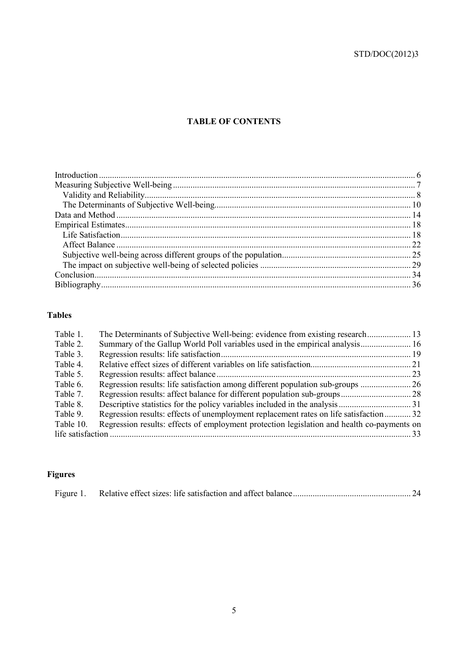# **TABLE OF CONTENTS**

# **Tables**

| Table 1.          | The Determinants of Subjective Well-being: evidence from existing research 13              |  |
|-------------------|--------------------------------------------------------------------------------------------|--|
| Table 2.          | Summary of the Gallup World Poll variables used in the empirical analysis 16               |  |
| Table 3.          |                                                                                            |  |
| Table 4.          |                                                                                            |  |
| Table 5.          |                                                                                            |  |
| Table 6.          | Regression results: life satisfaction among different population sub-groups                |  |
| Table 7.          |                                                                                            |  |
| Table 8.          |                                                                                            |  |
| Table 9.          | Regression results: effects of unemployment replacement rates on life satisfaction 32      |  |
| Table 10.         | Regression results: effects of employment protection legislation and health co-payments on |  |
| life satisfaction | $\sim$ 33                                                                                  |  |

# **Figures**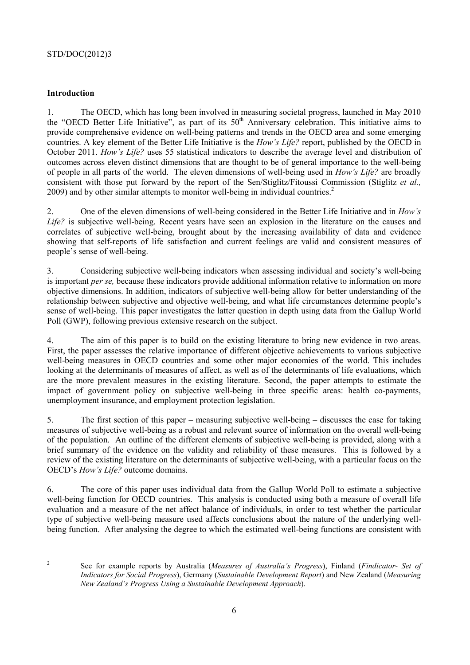# **Introduction**

1. The OECD, which has long been involved in measuring societal progress, launched in May 2010 the "OECD Better Life Initiative", as part of its 50th Anniversary celebration. This initiative aims to provide comprehensive evidence on well-being patterns and trends in the OECD area and some emerging countries. A key element of the Better Life Initiative is the *How's Life?* report, published by the OECD in October 2011. *How's Life?* uses 55 statistical indicators to describe the average level and distribution of outcomes across eleven distinct dimensions that are thought to be of general importance to the well-being of people in all parts of the world. The eleven dimensions of well-being used in *How's Life?* are broadly consistent with those put forward by the report of the Sen/Stiglitz/Fitoussi Commission (Stiglitz *et al.,*  2009) and by other similar attempts to monitor well-being in individual countries.<sup>2</sup>

2. One of the eleven dimensions of well-being considered in the Better Life Initiative and in *How's Life?* is subjective well-being. Recent years have seen an explosion in the literature on the causes and correlates of subjective well-being, brought about by the increasing availability of data and evidence showing that self-reports of life satisfaction and current feelings are valid and consistent measures of people's sense of well-being.

3. Considering subjective well-being indicators when assessing individual and society's well-being is important *per se,* because these indicators provide additional information relative to information on more objective dimensions. In addition, indicators of subjective well-being allow for better understanding of the relationship between subjective and objective well-being, and what life circumstances determine people's sense of well-being. This paper investigates the latter question in depth using data from the Gallup World Poll (GWP), following previous extensive research on the subject.

4. The aim of this paper is to build on the existing literature to bring new evidence in two areas. First, the paper assesses the relative importance of different objective achievements to various subjective well-being measures in OECD countries and some other major economies of the world. This includes looking at the determinants of measures of affect, as well as of the determinants of life evaluations, which are the more prevalent measures in the existing literature. Second, the paper attempts to estimate the impact of government policy on subjective well-being in three specific areas: health co-payments, unemployment insurance, and employment protection legislation.

5. The first section of this paper – measuring subjective well-being – discusses the case for taking measures of subjective well-being as a robust and relevant source of information on the overall well-being of the population. An outline of the different elements of subjective well-being is provided, along with a brief summary of the evidence on the validity and reliability of these measures. This is followed by a review of the existing literature on the determinants of subjective well-being, with a particular focus on the OECD's *How's Life?* outcome domains.

6. The core of this paper uses individual data from the Gallup World Poll to estimate a subjective well-being function for OECD countries. This analysis is conducted using both a measure of overall life evaluation and a measure of the net affect balance of individuals, in order to test whether the particular type of subjective well-being measure used affects conclusions about the nature of the underlying wellbeing function. After analysing the degree to which the estimated well-being functions are consistent with

 $\frac{1}{2}$ 

See for example reports by Australia (*Measures of Australia's Progress*), Finland (*Findicator- Set of Indicators for Social Progress*), Germany (*Sustainable Development Report*) and New Zealand (*Measuring New Zealand's Progress Using a Sustainable Development Approach*).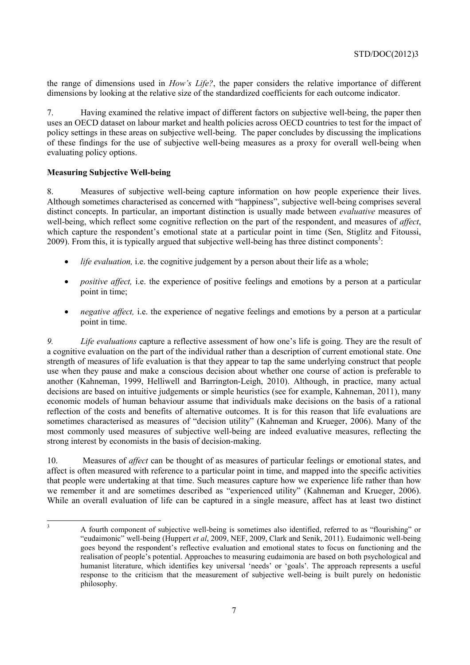the range of dimensions used in *How's Life?*, the paper considers the relative importance of different dimensions by looking at the relative size of the standardized coefficients for each outcome indicator.

7. Having examined the relative impact of different factors on subjective well-being, the paper then uses an OECD dataset on labour market and health policies across OECD countries to test for the impact of policy settings in these areas on subjective well-being. The paper concludes by discussing the implications of these findings for the use of subjective well-being measures as a proxy for overall well-being when evaluating policy options.

# **Measuring Subjective Well-being**

8. Measures of subjective well-being capture information on how people experience their lives. Although sometimes characterised as concerned with "happiness", subjective well-being comprises several distinct concepts. In particular, an important distinction is usually made between *evaluative* measures of well-being, which reflect some cognitive reflection on the part of the respondent, and measures of *affect*, which capture the respondent's emotional state at a particular point in time (Sen, Stiglitz and Fitoussi, 2009). From this, it is typically argued that subjective well-being has three distinct components<sup>3</sup>:

- *life evaluation*, i.e. the cognitive judgement by a person about their life as a whole;
- *positive affect*, *i.e.* the experience of positive feelings and emotions by a person at a particular point in time;
- *negative affect, i.e.* the experience of negative feelings and emotions by a person at a particular point in time.

*9. Life evaluations* capture a reflective assessment of how one's life is going. They are the result of a cognitive evaluation on the part of the individual rather than a description of current emotional state. One strength of measures of life evaluation is that they appear to tap the same underlying construct that people use when they pause and make a conscious decision about whether one course of action is preferable to another (Kahneman, 1999, Helliwell and Barrington-Leigh, 2010). Although, in practice, many actual decisions are based on intuitive judgements or simple heuristics (see for example, Kahneman, 2011), many economic models of human behaviour assume that individuals make decisions on the basis of a rational reflection of the costs and benefits of alternative outcomes. It is for this reason that life evaluations are sometimes characterised as measures of "decision utility" (Kahneman and Krueger, 2006). Many of the most commonly used measures of subjective well-being are indeed evaluative measures, reflecting the strong interest by economists in the basis of decision-making.

10. Measures of *affect* can be thought of as measures of particular feelings or emotional states, and affect is often measured with reference to a particular point in time, and mapped into the specific activities that people were undertaking at that time. Such measures capture how we experience life rather than how we remember it and are sometimes described as "experienced utility" (Kahneman and Krueger, 2006). While an overall evaluation of life can be captured in a single measure, affect has at least two distinct

 3 A fourth component of subjective well-being is sometimes also identified, referred to as "flourishing" or "eudaimonic" well-being (Huppert *et al*, 2009, NEF, 2009, Clark and Senik, 2011). Eudaimonic well-being goes beyond the respondent's reflective evaluation and emotional states to focus on functioning and the realisation of people's potential. Approaches to measuring eudaimonia are based on both psychological and humanist literature, which identifies key universal 'needs' or 'goals'. The approach represents a useful response to the criticism that the measurement of subjective well-being is built purely on hedonistic philosophy.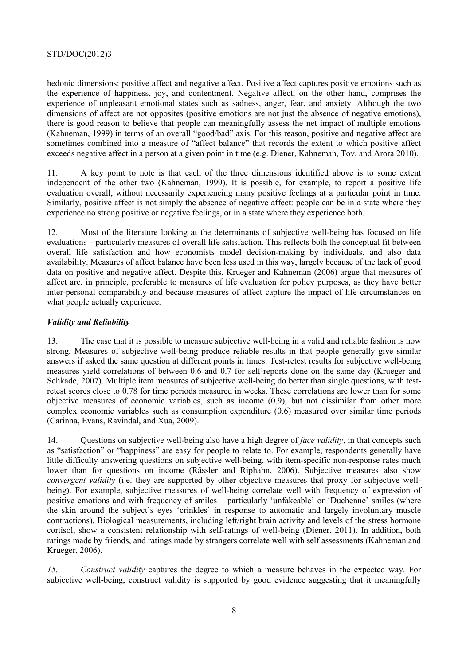hedonic dimensions: positive affect and negative affect. Positive affect captures positive emotions such as the experience of happiness, joy, and contentment. Negative affect, on the other hand, comprises the experience of unpleasant emotional states such as sadness, anger, fear, and anxiety. Although the two dimensions of affect are not opposites (positive emotions are not just the absence of negative emotions), there is good reason to believe that people can meaningfully assess the net impact of multiple emotions (Kahneman, 1999) in terms of an overall "good/bad" axis. For this reason, positive and negative affect are sometimes combined into a measure of "affect balance" that records the extent to which positive affect exceeds negative affect in a person at a given point in time (e.g. Diener, Kahneman, Tov, and Arora 2010).

11. A key point to note is that each of the three dimensions identified above is to some extent independent of the other two (Kahneman, 1999). It is possible, for example, to report a positive life evaluation overall, without necessarily experiencing many positive feelings at a particular point in time. Similarly, positive affect is not simply the absence of negative affect: people can be in a state where they experience no strong positive or negative feelings, or in a state where they experience both.

12. Most of the literature looking at the determinants of subjective well-being has focused on life evaluations – particularly measures of overall life satisfaction. This reflects both the conceptual fit between overall life satisfaction and how economists model decision-making by individuals, and also data availability. Measures of affect balance have been less used in this way, largely because of the lack of good data on positive and negative affect. Despite this, Krueger and Kahneman (2006) argue that measures of affect are, in principle, preferable to measures of life evaluation for policy purposes, as they have better inter-personal comparability and because measures of affect capture the impact of life circumstances on what people actually experience.

# *Validity and Reliability*

13. The case that it is possible to measure subjective well-being in a valid and reliable fashion is now strong. Measures of subjective well-being produce reliable results in that people generally give similar answers if asked the same question at different points in times. Test-retest results for subjective well-being measures yield correlations of between 0.6 and 0.7 for self-reports done on the same day (Krueger and Schkade, 2007). Multiple item measures of subjective well-being do better than single questions, with testretest scores close to 0.78 for time periods measured in weeks. These correlations are lower than for some objective measures of economic variables, such as income (0.9), but not dissimilar from other more complex economic variables such as consumption expenditure (0.6) measured over similar time periods (Carinna, Evans, Ravindal, and Xua, 2009).

14. Questions on subjective well-being also have a high degree of *face validity*, in that concepts such as "satisfaction" or "happiness" are easy for people to relate to. For example, respondents generally have little difficulty answering questions on subjective well-being, with item-specific non-response rates much lower than for questions on income (Rässler and Riphahn, 2006). Subjective measures also show *convergent validity* (i.e. they are supported by other objective measures that proxy for subjective wellbeing). For example, subjective measures of well-being correlate well with frequency of expression of positive emotions and with frequency of smiles – particularly 'unfakeable' or 'Duchenne' smiles (where the skin around the subject's eyes 'crinkles' in response to automatic and largely involuntary muscle contractions). Biological measurements, including left/right brain activity and levels of the stress hormone cortisol, show a consistent relationship with self-ratings of well-being (Diener, 2011). In addition, both ratings made by friends, and ratings made by strangers correlate well with self assessments (Kahneman and Krueger, 2006).

*15. Construct validity* captures the degree to which a measure behaves in the expected way. For subjective well-being, construct validity is supported by good evidence suggesting that it meaningfully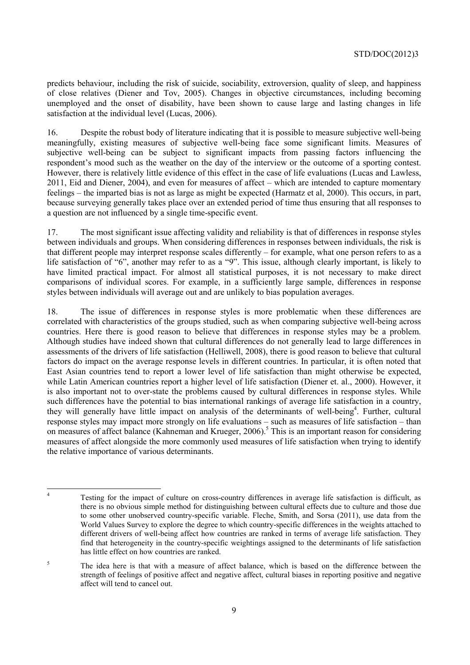predicts behaviour, including the risk of suicide, sociability, extroversion, quality of sleep, and happiness of close relatives (Diener and Tov, 2005). Changes in objective circumstances, including becoming unemployed and the onset of disability, have been shown to cause large and lasting changes in life satisfaction at the individual level (Lucas, 2006).

16. Despite the robust body of literature indicating that it is possible to measure subjective well-being meaningfully, existing measures of subjective well-being face some significant limits. Measures of subjective well-being can be subject to significant impacts from passing factors influencing the respondent's mood such as the weather on the day of the interview or the outcome of a sporting contest. However, there is relatively little evidence of this effect in the case of life evaluations (Lucas and Lawless, 2011, Eid and Diener, 2004), and even for measures of affect – which are intended to capture momentary feelings – the imparted bias is not as large as might be expected (Harmatz et al, 2000). This occurs, in part, because surveying generally takes place over an extended period of time thus ensuring that all responses to a question are not influenced by a single time-specific event.

17. The most significant issue affecting validity and reliability is that of differences in response styles between individuals and groups. When considering differences in responses between individuals, the risk is that different people may interpret response scales differently – for example, what one person refers to as a life satisfaction of "6", another may refer to as a "9". This issue, although clearly important, is likely to have limited practical impact. For almost all statistical purposes, it is not necessary to make direct comparisons of individual scores. For example, in a sufficiently large sample, differences in response styles between individuals will average out and are unlikely to bias population averages.

18. The issue of differences in response styles is more problematic when these differences are correlated with characteristics of the groups studied, such as when comparing subjective well-being across countries. Here there is good reason to believe that differences in response styles may be a problem. Although studies have indeed shown that cultural differences do not generally lead to large differences in assessments of the drivers of life satisfaction (Helliwell, 2008), there is good reason to believe that cultural factors do impact on the average response levels in different countries. In particular, it is often noted that East Asian countries tend to report a lower level of life satisfaction than might otherwise be expected, while Latin American countries report a higher level of life satisfaction (Diener et. al., 2000). However, it is also important not to over-state the problems caused by cultural differences in response styles. While such differences have the potential to bias international rankings of average life satisfaction in a country, they will generally have little impact on analysis of the determinants of well-being<sup>4</sup>. Further, cultural response styles may impact more strongly on life evaluations – such as measures of life satisfaction – than on measures of affect balance (Kahneman and Krueger, 2006).<sup>5</sup> This is an important reason for considering measures of affect alongside the more commonly used measures of life satisfaction when trying to identify the relative importance of various determinants.

 $\frac{1}{4}$  Testing for the impact of culture on cross-country differences in average life satisfaction is difficult, as there is no obvious simple method for distinguishing between cultural effects due to culture and those due to some other unobserved country-specific variable. Fleche, Smith, and Sorsa (2011), use data from the World Values Survey to explore the degree to which country-specific differences in the weights attached to different drivers of well-being affect how countries are ranked in terms of average life satisfaction. They find that heterogeneity in the country-specific weightings assigned to the determinants of life satisfaction has little effect on how countries are ranked.

The idea here is that with a measure of affect balance, which is based on the difference between the strength of feelings of positive affect and negative affect, cultural biases in reporting positive and negative affect will tend to cancel out.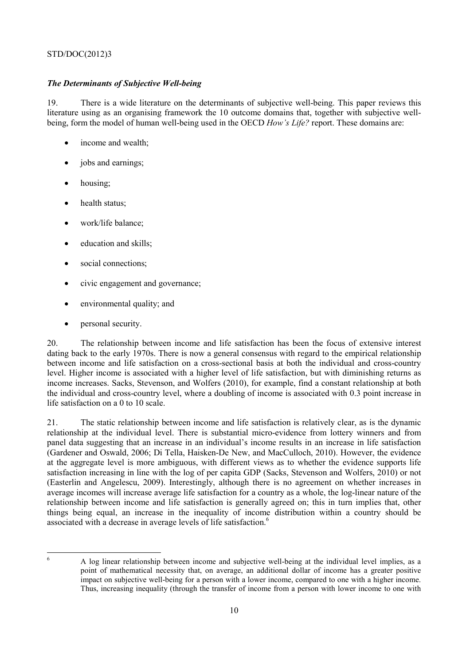# *The Determinants of Subjective Well-being*

19. There is a wide literature on the determinants of subjective well-being. This paper reviews this literature using as an organising framework the 10 outcome domains that, together with subjective wellbeing, form the model of human well-being used in the OECD *How's Life?* report. These domains are:

- income and wealth;
- jobs and earnings;
- housing;
- health status;
- work/life balance;
- education and skills;
- social connections;
- civic engagement and governance;
- environmental quality; and
- personal security.

20. The relationship between income and life satisfaction has been the focus of extensive interest dating back to the early 1970s. There is now a general consensus with regard to the empirical relationship between income and life satisfaction on a cross-sectional basis at both the individual and cross-country level. Higher income is associated with a higher level of life satisfaction, but with diminishing returns as income increases. Sacks, Stevenson, and Wolfers (2010), for example, find a constant relationship at both the individual and cross-country level, where a doubling of income is associated with 0.3 point increase in life satisfaction on a 0 to 10 scale.

21. The static relationship between income and life satisfaction is relatively clear, as is the dynamic relationship at the individual level. There is substantial micro-evidence from lottery winners and from panel data suggesting that an increase in an individual's income results in an increase in life satisfaction (Gardener and Oswald, 2006; Di Tella, Haisken-De New, and MacCulloch, 2010). However, the evidence at the aggregate level is more ambiguous, with different views as to whether the evidence supports life satisfaction increasing in line with the log of per capita GDP (Sacks, Stevenson and Wolfers, 2010) or not (Easterlin and Angelescu, 2009). Interestingly, although there is no agreement on whether increases in average incomes will increase average life satisfaction for a country as a whole, the log-linear nature of the relationship between income and life satisfaction is generally agreed on; this in turn implies that, other things being equal, an increase in the inequality of income distribution within a country should be associated with a decrease in average levels of life satisfaction.<sup>6</sup>

A log linear relationship between income and subjective well-being at the individual level implies, as a point of mathematical necessity that, on average, an additional dollar of income has a greater positive impact on subjective well-being for a person with a lower income, compared to one with a higher income. Thus, increasing inequality (through the transfer of income from a person with lower income to one with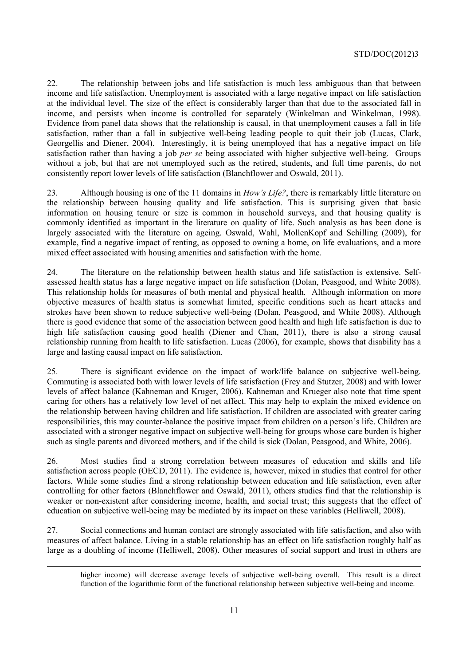22. The relationship between jobs and life satisfaction is much less ambiguous than that between income and life satisfaction. Unemployment is associated with a large negative impact on life satisfaction at the individual level. The size of the effect is considerably larger than that due to the associated fall in income, and persists when income is controlled for separately (Winkelman and Winkelman, 1998). Evidence from panel data shows that the relationship is causal, in that unemployment causes a fall in life satisfaction, rather than a fall in subjective well-being leading people to quit their job (Lucas, Clark, Georgellis and Diener, 2004). Interestingly, it is being unemployed that has a negative impact on life satisfaction rather than having a job *per se* being associated with higher subjective well-being. Groups without a job, but that are not unemployed such as the retired, students, and full time parents, do not consistently report lower levels of life satisfaction (Blanchflower and Oswald, 2011).

23. Although housing is one of the 11 domains in *How's Life?*, there is remarkably little literature on the relationship between housing quality and life satisfaction. This is surprising given that basic information on housing tenure or size is common in household surveys, and that housing quality is commonly identified as important in the literature on quality of life. Such analysis as has been done is largely associated with the literature on ageing. Oswald, Wahl, MollenKopf and Schilling (2009), for example, find a negative impact of renting, as opposed to owning a home, on life evaluations, and a more mixed effect associated with housing amenities and satisfaction with the home.

24. The literature on the relationship between health status and life satisfaction is extensive. Selfassessed health status has a large negative impact on life satisfaction (Dolan, Peasgood, and White 2008). This relationship holds for measures of both mental and physical health. Although information on more objective measures of health status is somewhat limited, specific conditions such as heart attacks and strokes have been shown to reduce subjective well-being (Dolan, Peasgood, and White 2008). Although there is good evidence that some of the association between good health and high life satisfaction is due to high life satisfaction causing good health (Diener and Chan, 2011), there is also a strong causal relationship running from health to life satisfaction. Lucas (2006), for example, shows that disability has a large and lasting causal impact on life satisfaction.

25. There is significant evidence on the impact of work/life balance on subjective well-being. Commuting is associated both with lower levels of life satisfaction (Frey and Stutzer, 2008) and with lower levels of affect balance (Kahneman and Kruger, 2006). Kahneman and Krueger also note that time spent caring for others has a relatively low level of net affect. This may help to explain the mixed evidence on the relationship between having children and life satisfaction. If children are associated with greater caring responsibilities, this may counter-balance the positive impact from children on a person's life. Children are associated with a stronger negative impact on subjective well-being for groups whose care burden is higher such as single parents and divorced mothers, and if the child is sick (Dolan, Peasgood, and White, 2006).

26. Most studies find a strong correlation between measures of education and skills and life satisfaction across people (OECD, 2011). The evidence is, however, mixed in studies that control for other factors. While some studies find a strong relationship between education and life satisfaction, even after controlling for other factors (Blanchflower and Oswald, 2011), others studies find that the relationship is weaker or non-existent after considering income, health, and social trust; this suggests that the effect of education on subjective well-being may be mediated by its impact on these variables (Helliwell, 2008).

27. Social connections and human contact are strongly associated with life satisfaction, and also with measures of affect balance. Living in a stable relationship has an effect on life satisfaction roughly half as large as a doubling of income (Helliwell, 2008). Other measures of social support and trust in others are

higher income) will decrease average levels of subjective well-being overall. This result is a direct function of the logarithmic form of the functional relationship between subjective well-being and income.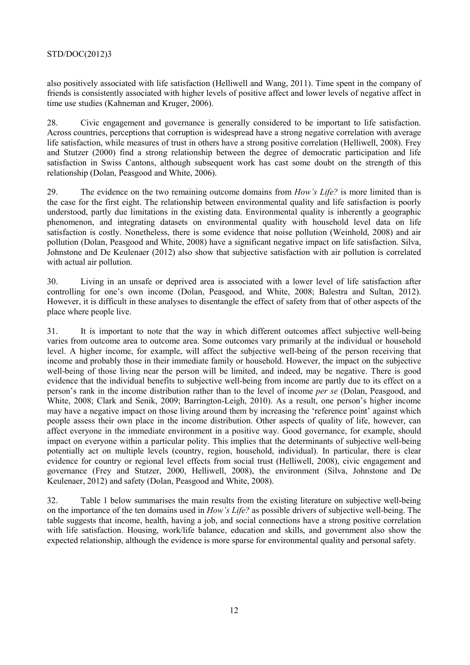also positively associated with life satisfaction (Helliwell and Wang, 2011). Time spent in the company of friends is consistently associated with higher levels of positive affect and lower levels of negative affect in time use studies (Kahneman and Kruger, 2006).

28. Civic engagement and governance is generally considered to be important to life satisfaction. Across countries, perceptions that corruption is widespread have a strong negative correlation with average life satisfaction, while measures of trust in others have a strong positive correlation (Helliwell, 2008). Frey and Stutzer (2000) find a strong relationship between the degree of democratic participation and life satisfaction in Swiss Cantons, although subsequent work has cast some doubt on the strength of this relationship (Dolan, Peasgood and White, 2006).

29. The evidence on the two remaining outcome domains from *How's Life?* is more limited than is the case for the first eight. The relationship between environmental quality and life satisfaction is poorly understood, partly due limitations in the existing data. Environmental quality is inherently a geographic phenomenon, and integrating datasets on environmental quality with household level data on life satisfaction is costly. Nonetheless, there is some evidence that noise pollution (Weinhold, 2008) and air pollution (Dolan, Peasgood and White, 2008) have a significant negative impact on life satisfaction. Silva, Johnstone and De Keulenaer (2012) also show that subjective satisfaction with air pollution is correlated with actual air pollution.

30. Living in an unsafe or deprived area is associated with a lower level of life satisfaction after controlling for one's own income (Dolan, Peasgood, and White, 2008; Balestra and Sultan, 2012). However, it is difficult in these analyses to disentangle the effect of safety from that of other aspects of the place where people live.

31. It is important to note that the way in which different outcomes affect subjective well-being varies from outcome area to outcome area. Some outcomes vary primarily at the individual or household level. A higher income, for example, will affect the subjective well-being of the person receiving that income and probably those in their immediate family or household. However, the impact on the subjective well-being of those living near the person will be limited, and indeed, may be negative. There is good evidence that the individual benefits to subjective well-being from income are partly due to its effect on a person's rank in the income distribution rather than to the level of income *per se* (Dolan, Peasgood, and White, 2008; Clark and Senik, 2009; Barrington-Leigh, 2010). As a result, one person's higher income may have a negative impact on those living around them by increasing the 'reference point' against which people assess their own place in the income distribution. Other aspects of quality of life, however, can affect everyone in the immediate environment in a positive way. Good governance, for example, should impact on everyone within a particular polity. This implies that the determinants of subjective well-being potentially act on multiple levels (country, region, household, individual). In particular, there is clear evidence for country or regional level effects from social trust (Helliwell, 2008), civic engagement and governance (Frey and Stutzer, 2000, Helliwell, 2008), the environment (Silva, Johnstone and De Keulenaer, 2012) and safety (Dolan, Peasgood and White, 2008).

32. Table 1 below summarises the main results from the existing literature on subjective well-being on the importance of the ten domains used in *How's Life?* as possible drivers of subjective well-being. The table suggests that income, health, having a job, and social connections have a strong positive correlation with life satisfaction. Housing, work/life balance, education and skills, and government also show the expected relationship, although the evidence is more sparse for environmental quality and personal safety.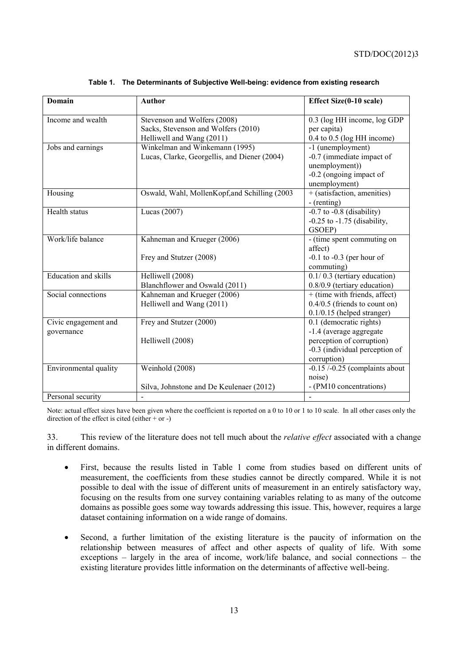| Domain                | <b>Author</b>                                 | Effect Size(0-10 scale)          |
|-----------------------|-----------------------------------------------|----------------------------------|
|                       |                                               |                                  |
| Income and wealth     | Stevenson and Wolfers (2008)                  | 0.3 (log HH income, log GDP      |
|                       | Sacks, Stevenson and Wolfers (2010)           | per capita)                      |
|                       | Helliwell and Wang (2011)                     | $0.4$ to $0.5$ (log HH income)   |
| Jobs and earnings     | Winkelman and Winkemann (1995)                | -1 (unemployment)                |
|                       | Lucas, Clarke, Georgellis, and Diener (2004)  | -0.7 (immediate impact of        |
|                       |                                               | unemployment))                   |
|                       |                                               | $-0.2$ (ongoing impact of        |
|                       |                                               | unemployment)                    |
| Housing               | Oswald, Wahl, MollenKopf, and Schilling (2003 | + (satisfaction, amenities)      |
|                       |                                               | - (renting)                      |
| Health status         | Lucas (2007)                                  | $-0.7$ to $-0.8$ (disability)    |
|                       |                                               | $-0.25$ to $-1.75$ (disability,  |
|                       |                                               | GSOEP)                           |
| Work/life balance     | Kahneman and Krueger (2006)                   | - (time spent commuting on       |
|                       |                                               | affect)                          |
|                       | Frey and Stutzer (2008)                       | $-0.1$ to $-0.3$ (per hour of    |
|                       |                                               | commuting)                       |
| Education and skills  | Helliwell (2008)                              | $0.1/0.3$ (tertiary education)   |
|                       | Blanchflower and Oswald (2011)                | 0.8/0.9 (tertiary education)     |
| Social connections    | Kahneman and Krueger (2006)                   | + (time with friends, affect)    |
|                       | Helliwell and Wang (2011)                     | $0.4/0.5$ (friends to count on)  |
|                       |                                               | $0.1/0.15$ (helped stranger)     |
| Civic engagement and  | Frey and Stutzer (2000)                       | 0.1 (democratic rights)          |
| governance            |                                               | -1.4 (average aggregate          |
|                       | Helliwell (2008)                              | perception of corruption)        |
|                       |                                               | -0.3 (individual perception of   |
|                       |                                               | corruption)                      |
| Environmental quality | Weinhold (2008)                               | $-0.15$ /-0.25 (complaints about |
|                       |                                               | noise)                           |
|                       | Silva, Johnstone and De Keulenaer (2012)      | - (PM10 concentrations)          |
| Personal security     |                                               | $\overline{a}$                   |

**Table 1. The Determinants of Subjective Well-being: evidence from existing research** 

Note: actual effect sizes have been given where the coefficient is reported on a 0 to 10 or 1 to 10 scale. In all other cases only the direction of the effect is cited (either  $+$  or  $-$ )

33. This review of the literature does not tell much about the *relative effect* associated with a change in different domains.

- First, because the results listed in Table 1 come from studies based on different units of measurement, the coefficients from these studies cannot be directly compared. While it is not possible to deal with the issue of different units of measurement in an entirely satisfactory way, focusing on the results from one survey containing variables relating to as many of the outcome domains as possible goes some way towards addressing this issue. This, however, requires a large dataset containing information on a wide range of domains.
- Second, a further limitation of the existing literature is the paucity of information on the relationship between measures of affect and other aspects of quality of life. With some exceptions – largely in the area of income, work/life balance, and social connections – the existing literature provides little information on the determinants of affective well-being.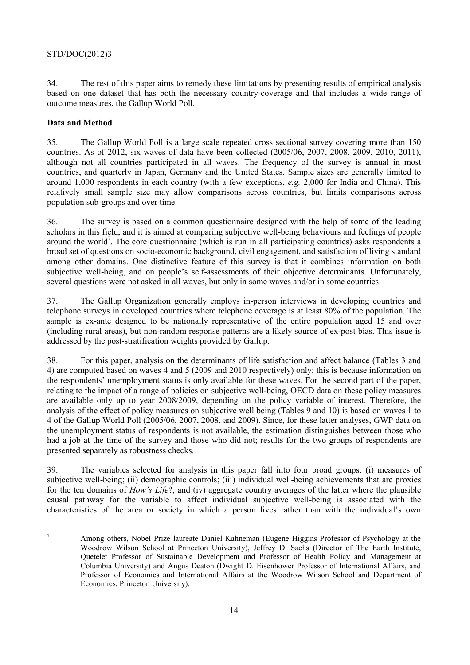34. The rest of this paper aims to remedy these limitations by presenting results of empirical analysis based on one dataset that has both the necessary country-coverage and that includes a wide range of outcome measures, the Gallup World Poll.

### **Data and Method**

35. The Gallup World Poll is a large scale repeated cross sectional survey covering more than 150 countries. As of 2012, six waves of data have been collected (2005/06, 2007, 2008, 2009, 2010, 2011), although not all countries participated in all waves. The frequency of the survey is annual in most countries, and quarterly in Japan, Germany and the United States. Sample sizes are generally limited to around 1,000 respondents in each country (with a few exceptions, *e.g.* 2,000 for India and China). This relatively small sample size may allow comparisons across countries, but limits comparisons across population sub-groups and over time.

36. The survey is based on a common questionnaire designed with the help of some of the leading scholars in this field, and it is aimed at comparing subjective well-being behaviours and feelings of people around the world<sup>7</sup>. The core questionnaire (which is run in all participating countries) asks respondents a broad set of questions on socio-economic background, civil engagement, and satisfaction of living standard among other domains. One distinctive feature of this survey is that it combines information on both subjective well-being, and on people's self-assessments of their objective determinants. Unfortunately, several questions were not asked in all waves, but only in some waves and/or in some countries.

37. The Gallup Organization generally employs in-person interviews in developing countries and telephone surveys in developed countries where telephone coverage is at least 80% of the population. The sample is ex-ante designed to be nationally representative of the entire population aged 15 and over (including rural areas), but non-random response patterns are a likely source of ex-post bias. This issue is addressed by the post-stratification weights provided by Gallup.

38. For this paper, analysis on the determinants of life satisfaction and affect balance (Tables 3 and 4) are computed based on waves 4 and 5 (2009 and 2010 respectively) only; this is because information on the respondents' unemployment status is only available for these waves. For the second part of the paper, relating to the impact of a range of policies on subjective well-being, OECD data on these policy measures are available only up to year 2008/2009, depending on the policy variable of interest. Therefore, the analysis of the effect of policy measures on subjective well being (Tables 9 and 10) is based on waves 1 to 4 of the Gallup World Poll (2005/06, 2007, 2008, and 2009). Since, for these latter analyses, GWP data on the unemployment status of respondents is not available, the estimation distinguishes between those who had a job at the time of the survey and those who did not; results for the two groups of respondents are presented separately as robustness checks.

39. The variables selected for analysis in this paper fall into four broad groups: (i) measures of subjective well-being; (ii) demographic controls; (iii) individual well-being achievements that are proxies for the ten domains of *How's Life*?; and (iv) aggregate country averages of the latter where the plausible causal pathway for the variable to affect individual subjective well-being is associated with the characteristics of the area or society in which a person lives rather than with the individual's own

<sup>-</sup>7 Among others, Nobel Prize laureate Daniel Kahneman (Eugene Higgins Professor of Psychology at the Woodrow Wilson School at Princeton University), Jeffrey D. Sachs (Director of The Earth Institute, Quetelet Professor of Sustainable Development and Professor of Health Policy and Management at Columbia University) and Angus Deaton (Dwight D. Eisenhower Professor of International Affairs, and Professor of Economics and International Affairs at the Woodrow Wilson School and Department of Economics, Princeton University).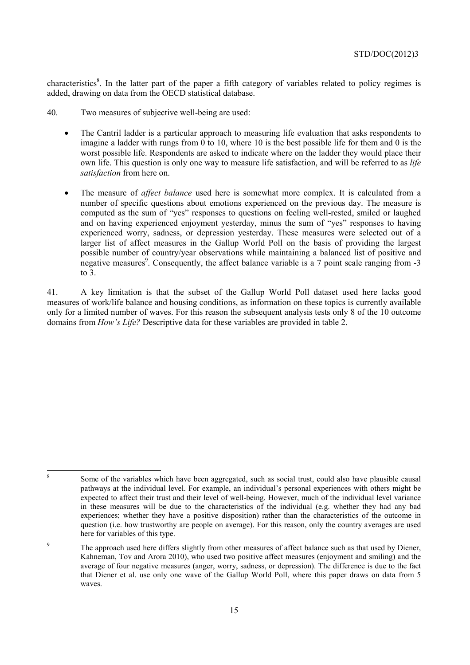characteristics<sup>8</sup>. In the latter part of the paper a fifth category of variables related to policy regimes is added, drawing on data from the OECD statistical database.

- 40. Two measures of subjective well-being are used:
	- The Cantril ladder is a particular approach to measuring life evaluation that asks respondents to imagine a ladder with rungs from 0 to 10, where 10 is the best possible life for them and 0 is the worst possible life. Respondents are asked to indicate where on the ladder they would place their own life. This question is only one way to measure life satisfaction, and will be referred to as *life satisfaction* from here on.
	- The measure of *affect balance* used here is somewhat more complex. It is calculated from a number of specific questions about emotions experienced on the previous day. The measure is computed as the sum of "yes" responses to questions on feeling well-rested, smiled or laughed and on having experienced enjoyment yesterday, minus the sum of "yes" responses to having experienced worry, sadness, or depression yesterday. These measures were selected out of a larger list of affect measures in the Gallup World Poll on the basis of providing the largest possible number of country/year observations while maintaining a balanced list of positive and negative measures<sup>9</sup>. Consequently, the affect balance variable is a 7 point scale ranging from -3 to 3.

41. A key limitation is that the subset of the Gallup World Poll dataset used here lacks good measures of work/life balance and housing conditions, as information on these topics is currently available only for a limited number of waves. For this reason the subsequent analysis tests only 8 of the 10 outcome domains from *How's Life?* Descriptive data for these variables are provided in table 2.

 8 Some of the variables which have been aggregated, such as social trust, could also have plausible causal pathways at the individual level. For example, an individual's personal experiences with others might be expected to affect their trust and their level of well-being. However, much of the individual level variance in these measures will be due to the characteristics of the individual (e.g. whether they had any bad experiences; whether they have a positive disposition) rather than the characteristics of the outcome in question (i.e. how trustworthy are people on average). For this reason, only the country averages are used here for variables of this type.

<sup>9</sup> The approach used here differs slightly from other measures of affect balance such as that used by Diener, Kahneman, Tov and Arora 2010), who used two positive affect measures (enjoyment and smiling) and the average of four negative measures (anger, worry, sadness, or depression). The difference is due to the fact that Diener et al. use only one wave of the Gallup World Poll, where this paper draws on data from 5 waves.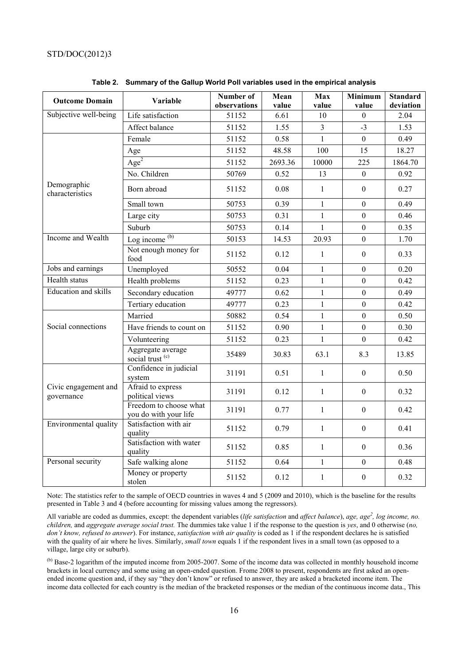| <b>Outcome Domain</b>              | Variable                                        | Number of<br>observations | Mean<br>value | Max<br>value   | Minimum<br>value | <b>Standard</b><br>deviation |
|------------------------------------|-------------------------------------------------|---------------------------|---------------|----------------|------------------|------------------------------|
| Subjective well-being              | Life satisfaction                               | 51152                     | 6.61          | 10             | $\theta$         | 2.04                         |
|                                    | Affect balance                                  | 51152                     | 1.55          | $\overline{3}$ | $-3$             | 1.53                         |
|                                    | Female                                          | 51152                     | 0.58          | 1              | $\boldsymbol{0}$ | 0.49                         |
|                                    | Age                                             | 51152                     | 48.58         | 100            | 15               | 18.27                        |
|                                    | Age <sup>2</sup>                                | 51152                     | 2693.36       | 10000          | 225              | 1864.70                      |
|                                    | No. Children                                    | 50769                     | 0.52          | 13             | $\Omega$         | 0.92                         |
| Demographic<br>characteristics     | Born abroad                                     | 51152                     | 0.08          | $\mathbf{1}$   | $\overline{0}$   | 0.27                         |
|                                    | Small town                                      | 50753                     | 0.39          | $\mathbf{1}$   | $\boldsymbol{0}$ | 0.49                         |
|                                    | Large city                                      | 50753                     | 0.31          | $\mathbf{1}$   | $\overline{0}$   | 0.46                         |
|                                    | Suburb                                          | 50753                     | 0.14          | $\mathbf{1}$   | $\mathbf{0}$     | 0.35                         |
| Income and Wealth                  | Log income $(b)$                                | 50153                     | 14.53         | 20.93          | $\mathbf{0}$     | 1.70                         |
|                                    | Not enough money for<br>food                    | 51152                     | 0.12          | $\mathbf{1}$   | $\boldsymbol{0}$ | 0.33                         |
| Jobs and earnings                  | Unemployed                                      | 50552                     | 0.04          | $\mathbf{1}$   | $\theta$         | 0.20                         |
| Health status                      | Health problems                                 | 51152                     | 0.23          | $\mathbf{1}$   | $\overline{0}$   | 0.42                         |
| Education and skills               | Secondary education                             | 49777                     | 0.62          | $\mathbf{1}$   | $\boldsymbol{0}$ | 0.49                         |
|                                    | Tertiary education                              | 49777                     | 0.23          | $\mathbf{1}$   | $\mathbf{0}$     | 0.42                         |
|                                    | Married                                         | 50882                     | 0.54          | $\mathbf{1}$   | $\overline{0}$   | 0.50                         |
| Social connections                 | Have friends to count on                        | 51152                     | 0.90          | $\mathbf{1}$   | $\overline{0}$   | 0.30                         |
|                                    | Volunteering                                    | 51152                     | 0.23          | $\mathbf{1}$   | $\Omega$         | 0.42                         |
|                                    | Aggregate average<br>social trust (c)           | 35489                     | 30.83         | 63.1           | 8.3              | 13.85                        |
|                                    | Confidence in judicial<br>system                | 31191                     | 0.51          | $\mathbf{1}$   | $\overline{0}$   | 0.50                         |
| Civic engagement and<br>governance | Afraid to express<br>political views            | 31191                     | 0.12          | $\mathbf{1}$   | $\boldsymbol{0}$ | 0.32                         |
|                                    | Freedom to choose what<br>you do with your life | 31191                     | 0.77          | $\mathbf{1}$   | $\overline{0}$   | 0.42                         |
| Environmental quality              | Satisfaction with air<br>quality                | 51152                     | 0.79          | $\mathbf{1}$   | $\boldsymbol{0}$ | 0.41                         |
|                                    | Satisfaction with water<br>quality              | 51152                     | 0.85          | $\mathbf{1}$   | $\mathbf{0}$     | 0.36                         |
| Personal security                  | Safe walking alone                              | 51152                     | 0.64          | $\mathbf{1}$   | $\boldsymbol{0}$ | 0.48                         |
|                                    | Money or property<br>stolen                     | 51152                     | 0.12          | $\mathbf{1}$   | $\boldsymbol{0}$ | 0.32                         |

#### **Table 2. Summary of the Gallup World Poll variables used in the empirical analysis**

Note: The statistics refer to the sample of OECD countries in waves 4 and 5 (2009 and 2010), which is the baseline for the results presented in Table 3 and 4 (before accounting for missing values among the regressors).

All variable are coded as dummies, except: the dependent variables (life satisfaction and affect balance), age, age<sup>2</sup>, log income, no. *children,* and *aggregate average social trust.* The dummies take value 1 if the response to the question is *yes*, and 0 otherwise (*no, don't know, refused to answer*). For instance, *satisfaction with air quality* is coded as 1 if the respondent declares he is satisfied with the quality of air where he lives. Similarly, *small town* equals 1 if the respondent lives in a small town (as opposed to a village, large city or suburb).

(b) Base-2 logarithm of the imputed income from 2005-2007. Some of the income data was collected in monthly household income brackets in local currency and some using an open-ended question. Frome 2008 to present, respondents are first asked an openended income question and, if they say "they don't know" or refused to answer, they are asked a bracketed income item. The income data collected for each country is the median of the bracketed responses or the median of the continuous income data., This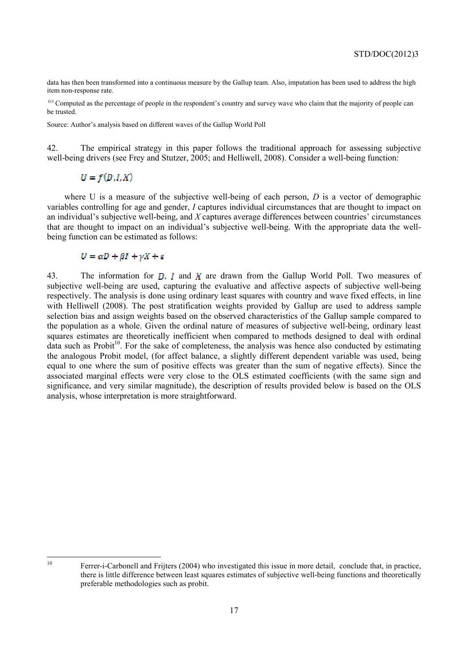data has then been transformed into a continuous measure by the Gallup team. Also, imputation has been used to address the high item non-response rate.

 (c) Computed as the percentage of people in the respondent's country and survey wave who claim that the majority of people can be trusted.

Source: Author's analysis based on different waves of the Gallup World Poll

42. The empirical strategy in this paper follows the traditional approach for assessing subjective well-being drivers (see Frey and Stutzer, 2005; and Helliwell, 2008). Consider a well-being function:

# $U = f(D, I, X)$

where U is a measure of the subjective well-being of each person, D is a vector of demographic variables controlling for age and gender, *I* captures individual circumstances that are thought to impact on an individual's subjective well-being, and *X* captures average differences between countries' circumstances that are thought to impact on an individual's subjective well-being. With the appropriate data the wellbeing function can be estimated as follows:

#### $U = \alpha D + \beta I + \gamma X + \varepsilon$

43. The information for  $\overline{D}$ ,  $I$  and  $\overline{X}$  are drawn from the Gallup World Poll. Two measures of subjective well-being are used, capturing the evaluative and affective aspects of subjective well-being respectively. The analysis is done using ordinary least squares with country and wave fixed effects, in line with Helliwell (2008). The post stratification weights provided by Gallup are used to address sample selection bias and assign weights based on the observed characteristics of the Gallup sample compared to the population as a whole. Given the ordinal nature of measures of subjective well-being, ordinary least squares estimates are theoretically inefficient when compared to methods designed to deal with ordinal  $\frac{1}{2}$  data such as Probit<sup>10</sup>. For the sake of completeness, the analysis was hence also conducted by estimating the analogous Probit model, (for affect balance, a slightly different dependent variable was used, being equal to one where the sum of positive effects was greater than the sum of negative effects). Since the associated marginal effects were very close to the OLS estimated coefficients (with the same sign and significance, and very similar magnitude), the description of results provided below is based on the OLS analysis, whose interpretation is more straightforward.

Ferrer-i-Carbonell and Frijters (2004) who investigated this issue in more detail, conclude that, in practice, there is little difference between least squares estimates of subjective well-being functions and theoretically preferable methodologies such as probit.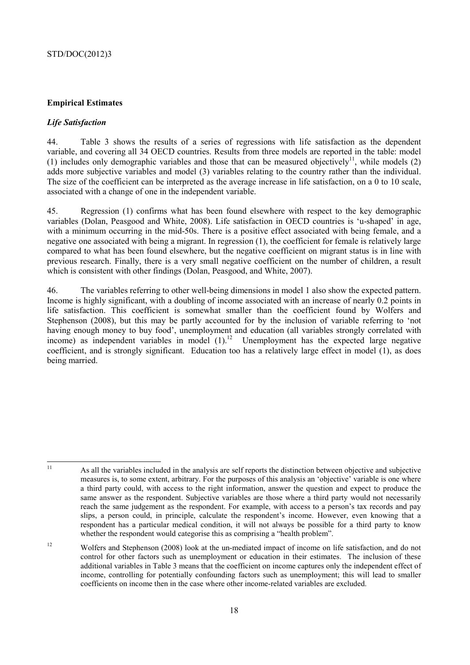#### **Empirical Estimates**

#### *Life Satisfaction*

44. Table 3 shows the results of a series of regressions with life satisfaction as the dependent variable, and covering all 34 OECD countries. Results from three models are reported in the table: model (1) includes only demographic variables and those that can be measured objectively<sup>11</sup>, while models  $(2)$ adds more subjective variables and model (3) variables relating to the country rather than the individual. The size of the coefficient can be interpreted as the average increase in life satisfaction, on a 0 to 10 scale, associated with a change of one in the independent variable.

45. Regression (1) confirms what has been found elsewhere with respect to the key demographic variables (Dolan, Peasgood and White, 2008). Life satisfaction in OECD countries is 'u-shaped' in age, with a minimum occurring in the mid-50s. There is a positive effect associated with being female, and a negative one associated with being a migrant. In regression (1), the coefficient for female is relatively large compared to what has been found elsewhere, but the negative coefficient on migrant status is in line with previous research. Finally, there is a very small negative coefficient on the number of children, a result which is consistent with other findings (Dolan, Peasgood, and White, 2007).

46. The variables referring to other well-being dimensions in model 1 also show the expected pattern. Income is highly significant, with a doubling of income associated with an increase of nearly 0.2 points in life satisfaction. This coefficient is somewhat smaller than the coefficient found by Wolfers and Stephenson (2008), but this may be partly accounted for by the inclusion of variable referring to 'not having enough money to buy food', unemployment and education (all variables strongly correlated with income) as independent variables in model  $(1)$ .<sup>12</sup> Unemployment has the expected large negative coefficient, and is strongly significant. Education too has a relatively large effect in model (1), as does being married.

 $11$ 11 As all the variables included in the analysis are self reports the distinction between objective and subjective measures is, to some extent, arbitrary. For the purposes of this analysis an 'objective' variable is one where a third party could, with access to the right information, answer the question and expect to produce the same answer as the respondent. Subjective variables are those where a third party would not necessarily reach the same judgement as the respondent. For example, with access to a person's tax records and pay slips, a person could, in principle, calculate the respondent's income. However, even knowing that a respondent has a particular medical condition, it will not always be possible for a third party to know whether the respondent would categorise this as comprising a "health problem".

<sup>&</sup>lt;sup>12</sup> Wolfers and Stephenson (2008) look at the un-mediated impact of income on life satisfaction, and do not control for other factors such as unemployment or education in their estimates. The inclusion of these additional variables in Table 3 means that the coefficient on income captures only the independent effect of income, controlling for potentially confounding factors such as unemployment; this will lead to smaller coefficients on income then in the case where other income-related variables are excluded.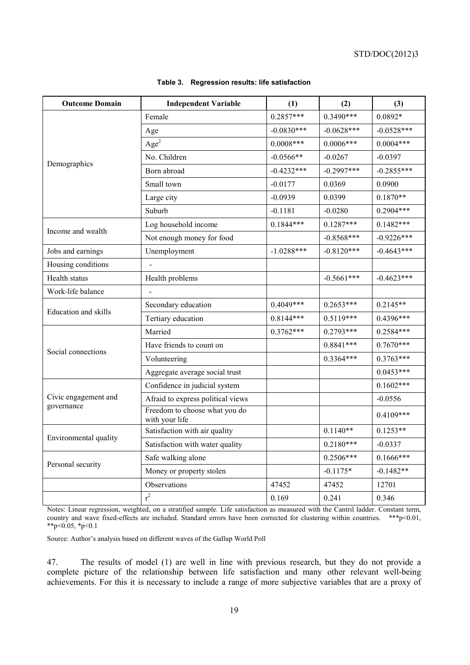| <b>Outcome Domain</b> | <b>Independent Variable</b>                     | (1)          | (2)          | (3)          |
|-----------------------|-------------------------------------------------|--------------|--------------|--------------|
|                       | Female                                          | $0.2857***$  | $0.3490***$  | $0.0892*$    |
|                       | Age                                             | $-0.0830***$ | $-0.0628***$ | $-0.0528***$ |
|                       | Age <sup>2</sup>                                | $0.0008***$  | $0.0006***$  | $0.0004***$  |
| Demographics          | No. Children                                    | $-0.0566**$  | $-0.0267$    | $-0.0397$    |
|                       | Born abroad                                     | $-0.4232***$ | $-0.2997***$ | $-0.2855***$ |
|                       | Small town                                      | $-0.0177$    | 0.0369       | 0.0900       |
|                       | Large city                                      | $-0.0939$    | 0.0399       | $0.1870**$   |
|                       | Suburb                                          | $-0.1181$    | $-0.0280$    | $0.2904***$  |
|                       | Log household income                            | $0.1844***$  | $0.1287***$  | $0.1482***$  |
| Income and wealth     | Not enough money for food                       |              | $-0.8568***$ | $-0.9226***$ |
| Jobs and earnings     | Unemployment                                    | $-1.0288***$ | $-0.8120***$ | $-0.4643***$ |
| Housing conditions    |                                                 |              |              |              |
| Health status         | Health problems                                 |              | $-0.5661***$ | $-0.4623***$ |
| Work-life balance     |                                                 |              |              |              |
|                       | Secondary education                             | $0.4049***$  | $0.2653***$  | $0.2145**$   |
| Education and skills  | Tertiary education                              | $0.8144***$  | $0.5119***$  | $0.4396***$  |
|                       | Married                                         | $0.3762***$  | $0.2793***$  | $0.2584***$  |
| Social connections    | Have friends to count on                        |              | $0.8841***$  | $0.7670***$  |
|                       | Volunteering                                    |              | $0.3364***$  | $0.3763***$  |
|                       | Aggregate average social trust                  |              |              | $0.0453***$  |
|                       | Confidence in judicial system                   |              |              | $0.1602***$  |
| Civic engagement and  | Afraid to express political views               |              |              | $-0.0556$    |
| governance            | Freedom to choose what you do<br>with your life |              |              | $0.4109***$  |
|                       | Satisfaction with air quality                   |              | $0.1140**$   | $0.1253**$   |
| Environmental quality | Satisfaction with water quality                 |              | $0.2180***$  | $-0.0337$    |
|                       | Safe walking alone                              |              | $0.2506***$  | $0.1666***$  |
| Personal security     | Money or property stolen                        |              | $-0.1175*$   | $-0.1482**$  |
|                       | Observations                                    | 47452        | 47452        | 12701        |
|                       | $r^2$                                           | 0.169        | 0.241        | 0.346        |

#### **Table 3. Regression results: life satisfaction**

Notes: Linear regression, weighted, on a stratified sample. Life satisfaction as measured with the Cantril ladder. Constant term, country and wave fixed-effects are included. Standard errors have been corrected for clustering within countries. \*\*\*p<0.01,  $*p<0.05$ ,  $*p<0.1$ 

Source: Author's analysis based on different waves of the Gallup World Poll

47. The results of model (1) are well in line with previous research, but they do not provide a complete picture of the relationship between life satisfaction and many other relevant well-being achievements. For this it is necessary to include a range of more subjective variables that are a proxy of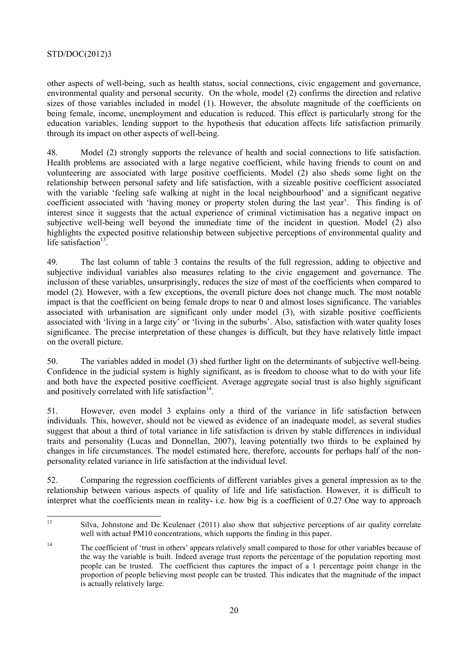other aspects of well-being, such as health status, social connections, civic engagement and governance, environmental quality and personal security. On the whole, model (2) confirms the direction and relative sizes of those variables included in model (1). However, the absolute magnitude of the coefficients on being female, income, unemployment and education is reduced. This effect is particularly strong for the education variables, lending support to the hypothesis that education affects life satisfaction primarily through its impact on other aspects of well-being.

48. Model (2) strongly supports the relevance of health and social connections to life satisfaction. Health problems are associated with a large negative coefficient, while having friends to count on and volunteering are associated with large positive coefficients. Model (2) also sheds some light on the relationship between personal safety and life satisfaction, with a sizeable positive coefficient associated with the variable 'feeling safe walking at night in the local neighbourhood' and a significant negative coefficient associated with 'having money or property stolen during the last year'. This finding is of interest since it suggests that the actual experience of criminal victimisation has a negative impact on subjective well-being well beyond the immediate time of the incident in question. Model (2) also highlights the expected positive relationship between subjective perceptions of environmental quality and life satisfaction $13$ .

49. The last column of table 3 contains the results of the full regression, adding to objective and subjective individual variables also measures relating to the civic engagement and governance. The inclusion of these variables, unsurprisingly, reduces the size of most of the coefficients when compared to model (2). However, with a few exceptions, the overall picture does not change much. The most notable impact is that the coefficient on being female drops to near 0 and almost loses significance. The variables associated with urbanisation are significant only under model (3), with sizable positive coefficients associated with 'living in a large city' or 'living in the suburbs'. Also, satisfaction with water quality loses significance. The precise interpretation of these changes is difficult, but they have relatively little impact on the overall picture.

50. The variables added in model (3) shed further light on the determinants of subjective well-being. Confidence in the judicial system is highly significant, as is freedom to choose what to do with your life and both have the expected positive coefficient. Average aggregate social trust is also highly significant and positively correlated with life satisfaction $14$ .

51. However, even model 3 explains only a third of the variance in life satisfaction between individuals. This, however, should not be viewed as evidence of an inadequate model, as several studies suggest that about a third of total variance in life satisfaction is driven by stable differences in individual traits and personality (Lucas and Donnellan, 2007), leaving potentially two thirds to be explained by changes in life circumstances. The model estimated here, therefore, accounts for perhaps half of the nonpersonality related variance in life satisfaction at the individual level.

52. Comparing the regression coefficients of different variables gives a general impression as to the relationship between various aspects of quality of life and life satisfaction. However, it is difficult to interpret what the coefficients mean in reality- i.e. how big is a coefficient of 0.2? One way to approach

 $13$ 13 Silva, Johnstone and De Keulenaer (2011) also show that subjective perceptions of air quality correlate well with actual PM10 concentrations, which supports the finding in this paper.

<sup>&</sup>lt;sup>14</sup> The coefficient of 'trust in others' appears relatively small compared to those for other variables because of the way the variable is built. Indeed average trust reports the percentage of the population reporting most people can be trusted. The coefficient thus captures the impact of a 1 percentage point change in the proportion of people believing most people can be trusted. This indicates that the magnitude of the impact is actually relatively large.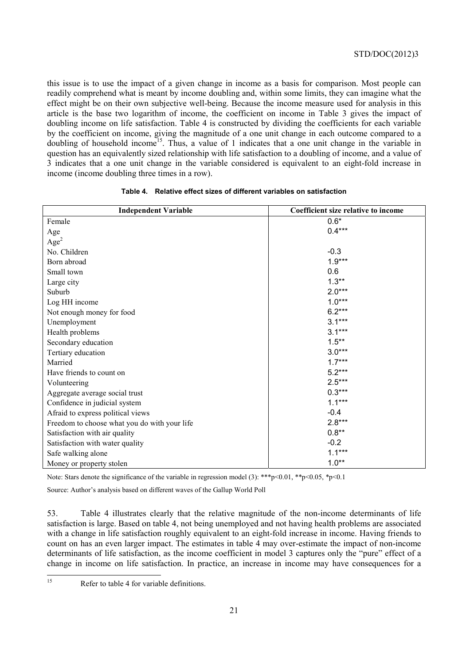this issue is to use the impact of a given change in income as a basis for comparison. Most people can readily comprehend what is meant by income doubling and, within some limits, they can imagine what the effect might be on their own subjective well-being. Because the income measure used for analysis in this article is the base two logarithm of income, the coefficient on income in Table 3 gives the impact of doubling income on life satisfaction. Table 4 is constructed by dividing the coefficients for each variable by the coefficient on income, giving the magnitude of a one unit change in each outcome compared to a doubling of household income<sup>15</sup>. Thus, a value of 1 indicates that a one unit change in the variable in question has an equivalently sized relationship with life satisfaction to a doubling of income, and a value of 3 indicates that a one unit change in the variable considered is equivalent to an eight-fold increase in income (income doubling three times in a row).

| <b>Independent Variable</b>                  | Coefficient size relative to income |
|----------------------------------------------|-------------------------------------|
| Female                                       | $0.6*$                              |
| Age                                          | $0.4***$                            |
| Age <sup>2</sup>                             |                                     |
| No. Children                                 | $-0.3$                              |
| Born abroad                                  | $1.9***$                            |
| Small town                                   | 0.6                                 |
| Large city                                   | $1.3**$                             |
| Suburb                                       | $2.0***$                            |
| Log HH income                                | $1.0***$                            |
| Not enough money for food                    | $6.2***$                            |
| Unemployment                                 | $3.1***$                            |
| Health problems                              | $3.1***$                            |
| Secondary education                          | $1.5***$                            |
| Tertiary education                           | $3.0***$                            |
| Married                                      | $1.7***$                            |
| Have friends to count on                     | $5.2***$                            |
| Volunteering                                 | $2.5***$                            |
| Aggregate average social trust               | $0.3***$                            |
| Confidence in judicial system                | $1.1***$                            |
| Afraid to express political views            | $-0.4$                              |
| Freedom to choose what you do with your life | $2.8***$                            |
| Satisfaction with air quality                | $0.8**$                             |
| Satisfaction with water quality              | $-0.2$                              |
| Safe walking alone                           | $1.1***$                            |
| Money or property stolen                     | $1.0**$                             |

#### **Table 4. Relative effect sizes of different variables on satisfaction**

Note: Stars denote the significance of the variable in regression model (3): \*\*\*p<0.01, \*\*p<0.05, \*p<0.1

Source: Author's analysis based on different waves of the Gallup World Poll

53. Table 4 illustrates clearly that the relative magnitude of the non-income determinants of life satisfaction is large. Based on table 4, not being unemployed and not having health problems are associated with a change in life satisfaction roughly equivalent to an eight-fold increase in income. Having friends to count on has an even larger impact. The estimates in table 4 may over-estimate the impact of non-income determinants of life satisfaction, as the income coefficient in model 3 captures only the "pure" effect of a change in income on life satisfaction. In practice, an increase in income may have consequences for a

 $15$ Refer to table 4 for variable definitions.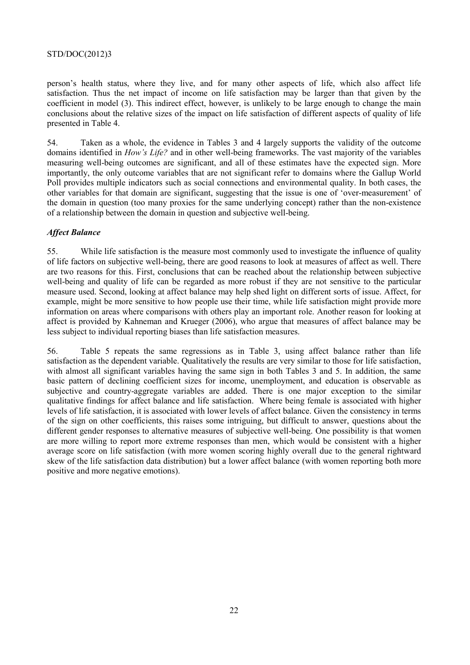person's health status, where they live, and for many other aspects of life, which also affect life satisfaction. Thus the net impact of income on life satisfaction may be larger than that given by the coefficient in model (3). This indirect effect, however, is unlikely to be large enough to change the main conclusions about the relative sizes of the impact on life satisfaction of different aspects of quality of life presented in Table 4.

54. Taken as a whole, the evidence in Tables 3 and 4 largely supports the validity of the outcome domains identified in *How's Life?* and in other well-being frameworks. The vast majority of the variables measuring well-being outcomes are significant, and all of these estimates have the expected sign. More importantly, the only outcome variables that are not significant refer to domains where the Gallup World Poll provides multiple indicators such as social connections and environmental quality. In both cases, the other variables for that domain are significant, suggesting that the issue is one of 'over-measurement' of the domain in question (too many proxies for the same underlying concept) rather than the non-existence of a relationship between the domain in question and subjective well-being.

### *Affect Balance*

55. While life satisfaction is the measure most commonly used to investigate the influence of quality of life factors on subjective well-being, there are good reasons to look at measures of affect as well. There are two reasons for this. First, conclusions that can be reached about the relationship between subjective well-being and quality of life can be regarded as more robust if they are not sensitive to the particular measure used. Second, looking at affect balance may help shed light on different sorts of issue. Affect, for example, might be more sensitive to how people use their time, while life satisfaction might provide more information on areas where comparisons with others play an important role. Another reason for looking at affect is provided by Kahneman and Krueger (2006), who argue that measures of affect balance may be less subject to individual reporting biases than life satisfaction measures.

56. Table 5 repeats the same regressions as in Table 3, using affect balance rather than life satisfaction as the dependent variable. Qualitatively the results are very similar to those for life satisfaction, with almost all significant variables having the same sign in both Tables 3 and 5. In addition, the same basic pattern of declining coefficient sizes for income, unemployment, and education is observable as subjective and country-aggregate variables are added. There is one major exception to the similar qualitative findings for affect balance and life satisfaction. Where being female is associated with higher levels of life satisfaction, it is associated with lower levels of affect balance. Given the consistency in terms of the sign on other coefficients, this raises some intriguing, but difficult to answer, questions about the different gender responses to alternative measures of subjective well-being. One possibility is that women are more willing to report more extreme responses than men, which would be consistent with a higher average score on life satisfaction (with more women scoring highly overall due to the general rightward skew of the life satisfaction data distribution) but a lower affect balance (with women reporting both more positive and more negative emotions).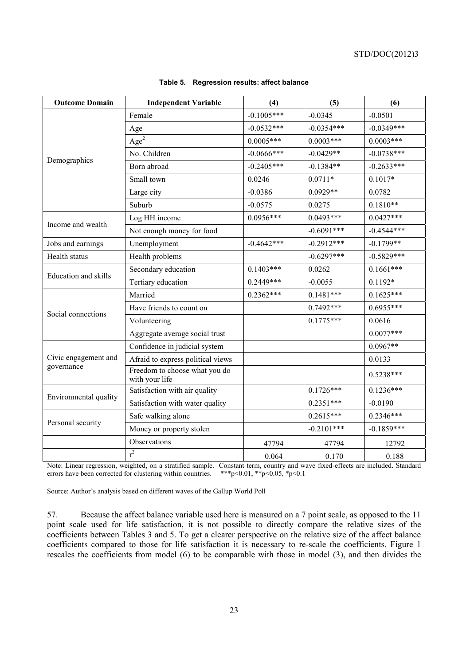| <b>Outcome Domain</b> | <b>Independent Variable</b>                     | (4)           | (5)          | (6)          |
|-----------------------|-------------------------------------------------|---------------|--------------|--------------|
|                       | Female                                          | $-0.1005***$  | $-0.0345$    | $-0.0501$    |
|                       | Age                                             | $-0.0532***$  | $-0.0354***$ | $-0.0349***$ |
|                       | $\rm{Age}^2$                                    | $0.0005***$   | $0.0003***$  | $0.0003***$  |
|                       | No. Children                                    | $-0.0666$ *** | $-0.0429**$  | $-0.0738***$ |
| Demographics          | Born abroad                                     | $-0.2405***$  | $-0.1384**$  | $-0.2633***$ |
|                       | Small town                                      | 0.0246        | $0.0711*$    | $0.1017*$    |
|                       | Large city                                      | $-0.0386$     | $0.0929**$   | 0.0782       |
|                       | Suburb                                          | $-0.0575$     | 0.0275       | $0.1810**$   |
|                       | Log HH income                                   | $0.0956***$   | $0.0493***$  | $0.0427***$  |
| Income and wealth     | Not enough money for food                       |               | $-0.6091***$ | $-0.4544***$ |
| Jobs and earnings     | Unemployment                                    | $-0.4642***$  | $-0.2912***$ | $-0.1799**$  |
| Health status         | Health problems                                 |               | $-0.6297***$ | $-0.5829***$ |
| Education and skills  | Secondary education                             | $0.1403***$   | 0.0262       | $0.1661***$  |
|                       | Tertiary education                              | $0.2449***$   | $-0.0055$    | $0.1192*$    |
|                       | Married                                         | $0.2362***$   | $0.1481***$  | $0.1625***$  |
|                       | Have friends to count on                        |               | $0.7492***$  | $0.6955***$  |
| Social connections    | Volunteering                                    |               | $0.1775***$  | 0.0616       |
|                       | Aggregate average social trust                  |               |              | $0.0077***$  |
|                       | Confidence in judicial system                   |               |              | $0.0967**$   |
| Civic engagement and  | Afraid to express political views               |               |              | 0.0133       |
| governance            | Freedom to choose what you do<br>with your life |               |              | $0.5238***$  |
|                       | Satisfaction with air quality                   |               | $0.1726***$  | $0.1236***$  |
| Environmental quality | Satisfaction with water quality                 |               | $0.2351***$  | $-0.0190$    |
|                       | Safe walking alone                              |               | $0.2615***$  | $0.2346***$  |
| Personal security     | Money or property stolen                        |               | $-0.2101***$ | $-0.1859***$ |
|                       | Observations                                    | 47794         | 47794        | 12792        |
|                       | $r^2$                                           | 0.064         | 0.170        | 0.188        |

#### **Table 5. Regression results: affect balance**

Note: Linear regression, weighted, on a stratified sample. Constant term, country and wave fixed-effects are included. Standard errors have been corrected for clustering within countries. \*\*\*p<0.01, \*\*p<0.05, \*p<0.1

Source: Author's analysis based on different waves of the Gallup World Poll

57. Because the affect balance variable used here is measured on a 7 point scale, as opposed to the 11 point scale used for life satisfaction, it is not possible to directly compare the relative sizes of the coefficients between Tables 3 and 5. To get a clearer perspective on the relative size of the affect balance coefficients compared to those for life satisfaction it is necessary to re-scale the coefficients. Figure 1 rescales the coefficients from model (6) to be comparable with those in model (3), and then divides the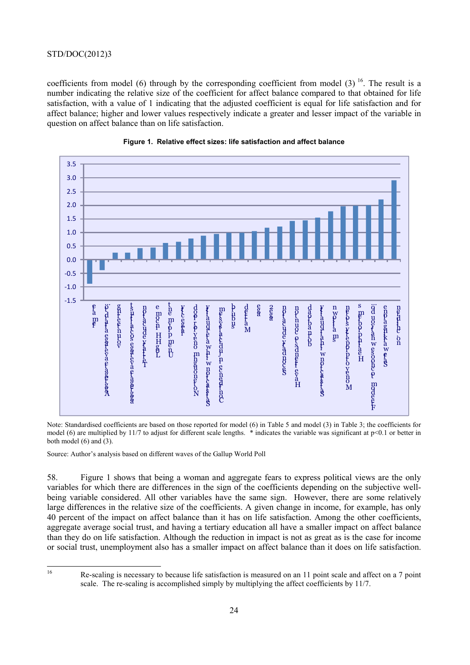coefficients from model (6) through by the corresponding coefficient from model (3) <sup>16</sup>. The result is a number indicating the relative size of the coefficient for affect balance compared to that obtained for life satisfaction, with a value of 1 indicating that the adjusted coefficient is equal for life satisfaction and for affect balance; higher and lower values respectively indicate a greater and lesser impact of the variable in question on affect balance than on life satisfaction.





Note: Standardised coefficients are based on those reported for model (6) in Table 5 and model (3) in Table 3; the coefficients for model (6) are multiplied by 11/7 to adjust for different scale lengths. \* indicates the variable was significant at p<0.1 or better in both model  $(6)$  and  $(3)$ .

Source: Author's analysis based on different waves of the Gallup World Poll

58. Figure 1 shows that being a woman and aggregate fears to express political views are the only variables for which there are differences in the sign of the coefficients depending on the subjective wellbeing variable considered. All other variables have the same sign. However, there are some relatively large differences in the relative size of the coefficients. A given change in income, for example, has only 40 percent of the impact on affect balance than it has on life satisfaction. Among the other coefficients, aggregate average social trust, and having a tertiary education all have a smaller impact on affect balance than they do on life satisfaction. Although the reduction in impact is not as great as is the case for income or social trust, unemployment also has a smaller impact on affect balance than it does on life satisfaction.

<sup>16</sup> Re-scaling is necessary to because life satisfaction is measured on an 11 point scale and affect on a 7 point scale. The re-scaling is accomplished simply by multiplying the affect coefficients by 11/7.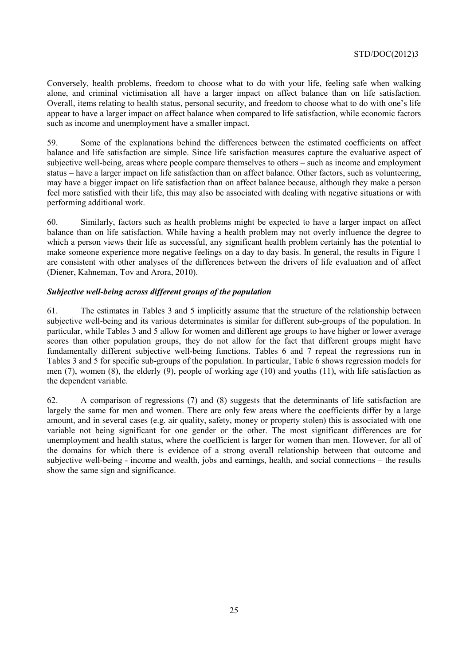Conversely, health problems, freedom to choose what to do with your life, feeling safe when walking alone, and criminal victimisation all have a larger impact on affect balance than on life satisfaction. Overall, items relating to health status, personal security, and freedom to choose what to do with one's life appear to have a larger impact on affect balance when compared to life satisfaction, while economic factors such as income and unemployment have a smaller impact.

59. Some of the explanations behind the differences between the estimated coefficients on affect balance and life satisfaction are simple. Since life satisfaction measures capture the evaluative aspect of subjective well-being, areas where people compare themselves to others – such as income and employment status – have a larger impact on life satisfaction than on affect balance. Other factors, such as volunteering, may have a bigger impact on life satisfaction than on affect balance because, although they make a person feel more satisfied with their life, this may also be associated with dealing with negative situations or with performing additional work.

60. Similarly, factors such as health problems might be expected to have a larger impact on affect balance than on life satisfaction. While having a health problem may not overly influence the degree to which a person views their life as successful, any significant health problem certainly has the potential to make someone experience more negative feelings on a day to day basis. In general, the results in Figure 1 are consistent with other analyses of the differences between the drivers of life evaluation and of affect (Diener, Kahneman, Tov and Arora, 2010).

# *Subjective well-being across different groups of the population*

61. The estimates in Tables 3 and 5 implicitly assume that the structure of the relationship between subjective well-being and its various determinates is similar for different sub-groups of the population. In particular, while Tables 3 and 5 allow for women and different age groups to have higher or lower average scores than other population groups, they do not allow for the fact that different groups might have fundamentally different subjective well-being functions. Tables 6 and 7 repeat the regressions run in Tables 3 and 5 for specific sub-groups of the population. In particular, Table 6 shows regression models for men (7), women (8), the elderly (9), people of working age (10) and youths (11), with life satisfaction as the dependent variable.

62. A comparison of regressions (7) and (8) suggests that the determinants of life satisfaction are largely the same for men and women. There are only few areas where the coefficients differ by a large amount, and in several cases (e.g. air quality, safety, money or property stolen) this is associated with one variable not being significant for one gender or the other. The most significant differences are for unemployment and health status, where the coefficient is larger for women than men. However, for all of the domains for which there is evidence of a strong overall relationship between that outcome and subjective well-being - income and wealth, jobs and earnings, health, and social connections – the results show the same sign and significance.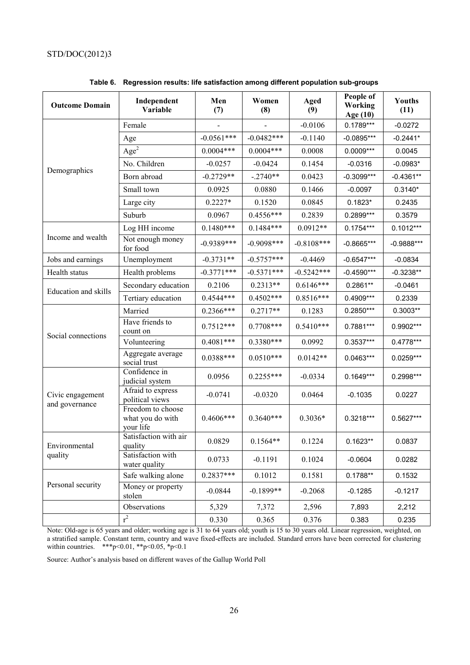| <b>Outcome Domain</b>              | Independent<br>Variable                            | Men<br>(7)    | Women<br>(8) | <b>Aged</b><br>(9) | People of<br>Working<br>Age (10) | Youths<br>(11) |
|------------------------------------|----------------------------------------------------|---------------|--------------|--------------------|----------------------------------|----------------|
|                                    | Female                                             |               |              | $-0.0106$          | $0.1789***$                      | $-0.0272$      |
|                                    | Age                                                | $-0.0561***$  | $-0.0482***$ | $-0.1140$          | $-0.0895***$                     | $-0.2441*$     |
|                                    | Age <sup>2</sup>                                   | $0.0004***$   | $0.0004***$  | 0.0008             | $0.0009***$                      | 0.0045         |
|                                    | No. Children                                       | $-0.0257$     | $-0.0424$    | 0.1454             | $-0.0316$                        | $-0.0983*$     |
| Demographics                       | Born abroad                                        | $-0.2729**$   | $-.2740**$   | 0.0423             | $-0.3099***$                     | $-0.4361**$    |
|                                    | Small town                                         | 0.0925        | 0.0880       | 0.1466             | $-0.0097$                        | $0.3140*$      |
|                                    | Large city                                         | $0.2227*$     | 0.1520       | 0.0845             | $0.1823*$                        | 0.2435         |
|                                    | Suburb                                             | 0.0967        | $0.4556***$  | 0.2839             | $0.2899***$                      | 0.3579         |
|                                    | Log HH income                                      | $0.1480***$   | $0.1484***$  | $0.0912**$         | $0.1754***$                      | $0.1012***$    |
| Income and wealth                  | Not enough money<br>for food                       | $-0.9389***$  | $-0.9098***$ | $-0.8108***$       | $-0.8665***$                     | $-0.9888***$   |
| Jobs and earnings                  | Unemployment                                       | $-0.3731**$   | $-0.5757***$ | $-0.4469$          | $-0.6547***$                     | $-0.0834$      |
| Health status                      | Health problems                                    | $-0.3771$ *** | $-0.5371***$ | $-0.5242***$       | $-0.4590***$                     | $-0.3238**$    |
| <b>Education</b> and skills        | Secondary education                                | 0.2106        | $0.2313**$   | $0.6146***$        | $0.2861**$                       | $-0.0461$      |
|                                    | Tertiary education                                 | 0.4544***     | $0.4502***$  | $0.8516***$        | 0.4909***                        | 0.2339         |
|                                    | Married                                            | $0.2366***$   | $0.2717**$   | 0.1283             | $0.2850***$                      | $0.3003**$     |
| Social connections                 | Have friends to<br>count on                        | $0.7512***$   | $0.7708***$  | $0.5410***$        | 0.7881***                        | 0.9902***      |
|                                    | Volunteering                                       | $0.4081***$   | $0.3380***$  | 0.0992             | $0.3537***$                      | $0.4778***$    |
|                                    | Aggregate average<br>social trust                  | $0.0388***$   | $0.0510***$  | $0.0142**$         | $0.0463***$                      | $0.0259***$    |
|                                    | Confidence in<br>judicial system                   | 0.0956        | $0.2255***$  | $-0.0334$          | $0.1649***$                      | 0.2998***      |
| Civic engagement<br>and governance | Afraid to express<br>political views               | $-0.0741$     | $-0.0320$    | 0.0464             | $-0.1035$                        | 0.0227         |
|                                    | Freedom to choose<br>what you do with<br>your life | 0.4606***     | $0.3640***$  | $0.3036*$          | $0.3218***$                      | $0.5627***$    |
| Environmental                      | Satisfaction with air<br>quality                   | 0.0829        | $0.1564**$   | 0.1224             | $0.1623**$                       | 0.0837         |
| quality                            | Satisfaction with<br>water quality                 | 0.0733        | $-0.1191$    | 0.1024             | $-0.0604$                        | 0.0282         |
|                                    | Safe walking alone                                 | $0.2837***$   | 0.1012       | 0.1581             | $0.1788**$                       | 0.1532         |
| Personal security                  | Money or property<br>stolen                        | $-0.0844$     | $-0.1899**$  | $-0.2068$          | $-0.1285$                        | $-0.1217$      |
|                                    | Observations                                       | 5,329         | 7,372        | 2,596              | 7,893                            | 2,212          |
|                                    | $\rm r^2$                                          | 0.330         | 0.365        | 0.376              | 0.383                            | 0.235          |

### **Table 6. Regression results: life satisfaction among different population sub-groups**

Note: Old-age is 65 years and older; working age is 31 to 64 years old; youth is 15 to 30 years old. Linear regression, weighted, on a stratified sample. Constant term, country and wave fixed-effects are included. Standard errors have been corrected for clustering within countries.  $***p<0.01, **p<0.05, *p<0.1$ 

Source: Author's analysis based on different waves of the Gallup World Poll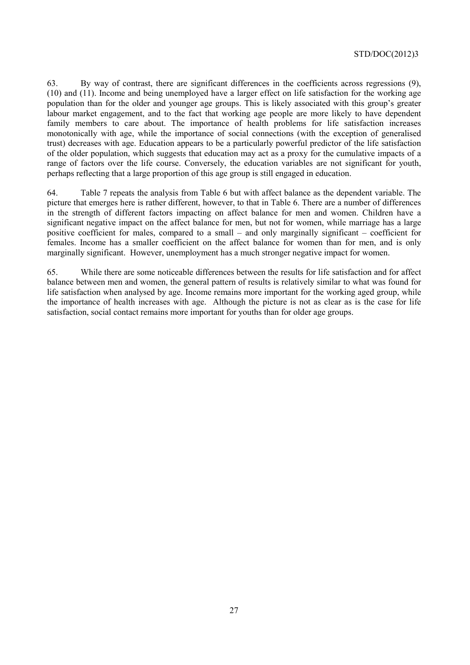63. By way of contrast, there are significant differences in the coefficients across regressions (9), (10) and (11). Income and being unemployed have a larger effect on life satisfaction for the working age population than for the older and younger age groups. This is likely associated with this group's greater labour market engagement, and to the fact that working age people are more likely to have dependent family members to care about. The importance of health problems for life satisfaction increases monotonically with age, while the importance of social connections (with the exception of generalised trust) decreases with age. Education appears to be a particularly powerful predictor of the life satisfaction of the older population, which suggests that education may act as a proxy for the cumulative impacts of a range of factors over the life course. Conversely, the education variables are not significant for youth, perhaps reflecting that a large proportion of this age group is still engaged in education.

64. Table 7 repeats the analysis from Table 6 but with affect balance as the dependent variable. The picture that emerges here is rather different, however, to that in Table 6. There are a number of differences in the strength of different factors impacting on affect balance for men and women. Children have a significant negative impact on the affect balance for men, but not for women, while marriage has a large positive coefficient for males, compared to a small – and only marginally significant – coefficient for females. Income has a smaller coefficient on the affect balance for women than for men, and is only marginally significant. However, unemployment has a much stronger negative impact for women.

65. While there are some noticeable differences between the results for life satisfaction and for affect balance between men and women, the general pattern of results is relatively similar to what was found for life satisfaction when analysed by age. Income remains more important for the working aged group, while the importance of health increases with age. Although the picture is not as clear as is the case for life satisfaction, social contact remains more important for youths than for older age groups.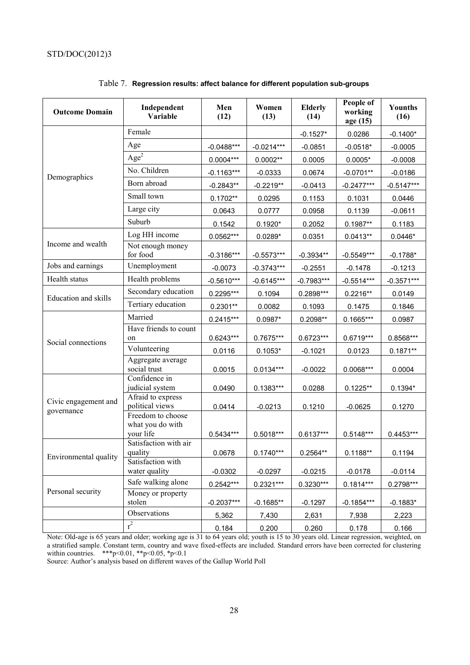| <b>Outcome Domain</b>              | Independent<br>Variable                            | Men<br>(12)  | Women<br>(13) | <b>Elderly</b><br>(14) | People of<br>working<br>age (15) | Younths<br>(16) |
|------------------------------------|----------------------------------------------------|--------------|---------------|------------------------|----------------------------------|-----------------|
|                                    | Female                                             |              |               | $-0.1527*$             | 0.0286                           | $-0.1400*$      |
|                                    | Age                                                | $-0.0488***$ | $-0.0214***$  | $-0.0851$              | $-0.0518*$                       | $-0.0005$       |
|                                    | Age <sup>2</sup>                                   | $0.0004***$  | $0.0002**$    | 0.0005                 | $0.0005*$                        | $-0.0008$       |
|                                    | No. Children                                       | $-0.1163***$ | $-0.0333$     | 0.0674                 | $-0.0701**$                      | $-0.0186$       |
| Demographics                       | Born abroad                                        | $-0.2843**$  | $-0.2219**$   | $-0.0413$              | $-0.2477***$                     | $-0.5147***$    |
|                                    | Small town                                         | $0.1702**$   | 0.0295        | 0.1153                 | 0.1031                           | 0.0446          |
|                                    | Large city                                         | 0.0643       | 0.0777        | 0.0958                 | 0.1139                           | $-0.0611$       |
|                                    | Suburb                                             | 0.1542       | $0.1920*$     | 0.2052                 | $0.1987**$                       | 0.1183          |
|                                    | Log HH income                                      | $0.0562***$  | $0.0289*$     | 0.0351                 | $0.0413**$                       | $0.0446*$       |
| Income and wealth                  | Not enough money<br>for food                       | $-0.3186***$ | $-0.5573***$  | $-0.3934**$            | $-0.5549***$                     | $-0.1788*$      |
| Jobs and earnings                  | Unemployment                                       | $-0.0073$    | $-0.3743***$  | $-0.2551$              | $-0.1478$                        | $-0.1213$       |
| Health status                      | Health problems                                    | $-0.5610***$ | $-0.6145***$  | $-0.7983***$           | $-0.5514***$                     | $-0.3571***$    |
| Education and skills               | Secondary education                                | $0.2295***$  | 0.1094        | 0.2898***              | $0.2216**$                       | 0.0149          |
|                                    | Tertiary education                                 | $0.2301**$   | 0.0082        | 0.1093                 | 0.1475                           | 0.1846          |
|                                    | Married                                            | $0.2415***$  | 0.0987*       | 0.2098**               | $0.1665***$                      | 0.0987          |
| Social connections                 | Have friends to count<br>on                        | $0.6243***$  | $0.7675***$   | $0.6723***$            | $0.6719***$                      | 0.8568***       |
|                                    | Volunteering                                       | 0.0116       | $0.1053*$     | $-0.1021$              | 0.0123                           | $0.1871**$      |
|                                    | Aggregate average<br>social trust                  | 0.0015       | $0.0134***$   | $-0.0022$              | $0.0068***$                      | 0.0004          |
|                                    | Confidence in<br>judicial system                   | 0.0490       | $0.1383***$   | 0.0288                 | $0.1225**$                       | $0.1394*$       |
| Civic engagement and<br>governance | Afraid to express<br>political views               | 0.0414       | $-0.0213$     | 0.1210                 | $-0.0625$                        | 0.1270          |
|                                    | Freedom to choose<br>what you do with<br>vour life | $0.5434***$  | $0.5018***$   | $0.6137***$            | $0.5148***$                      | $0.4453***$     |
| Environmental quality              | Satisfaction with air<br>quality                   | 0.0678       | $0.1740***$   | $0.2564**$             | $0.1188**$                       | 0.1194          |
|                                    | Satisfaction with<br>water quality                 | $-0.0302$    | $-0.0297$     | $-0.0215$              | $-0.0178$                        | $-0.0114$       |
|                                    | Safe walking alone                                 | $0.2542***$  | $0.2321***$   | $0.3230***$            | $0.1814***$                      | $0.2798***$     |
| Personal security                  | Money or property<br>stolen                        | $-0.2037***$ | $-0.1685**$   | $-0.1297$              | $-0.1854***$                     | $-0.1883*$      |
|                                    | Observations                                       | 5,362        | 7,430         | 2,631                  | 7,938                            | 2,223           |
|                                    | $r^2$                                              | 0.184        | 0.200         | 0.260                  | 0.178                            | 0.166           |

# Table 7. **Regression results: affect balance for different population sub-groups**

Note: Old-age is 65 years and older; working age is 31 to 64 years old; youth is 15 to 30 years old. Linear regression, weighted, on a stratified sample. Constant term, country and wave fixed-effects are included. Standard errors have been corrected for clustering within countries.  $***p<0.01, **p<0.05, *p<0.1$ 

Source: Author's analysis based on different waves of the Gallup World Poll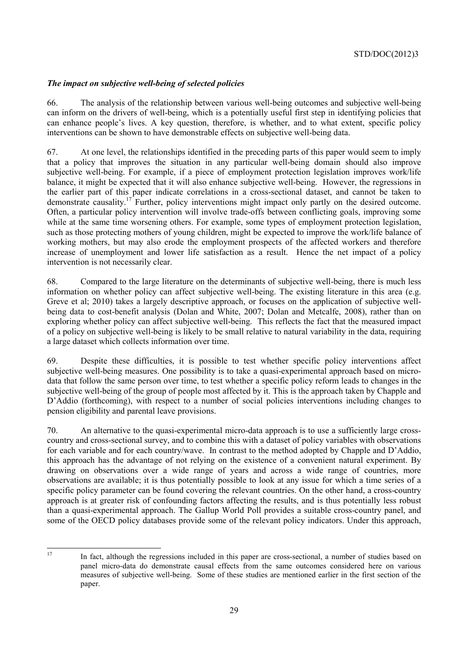# *The impact on subjective well-being of selected policies*

66. The analysis of the relationship between various well-being outcomes and subjective well-being can inform on the drivers of well-being, which is a potentially useful first step in identifying policies that can enhance people's lives. A key question, therefore, is whether, and to what extent, specific policy interventions can be shown to have demonstrable effects on subjective well-being data.

67. At one level, the relationships identified in the preceding parts of this paper would seem to imply that a policy that improves the situation in any particular well-being domain should also improve subjective well-being. For example, if a piece of employment protection legislation improves work/life balance, it might be expected that it will also enhance subjective well-being. However, the regressions in the earlier part of this paper indicate correlations in a cross-sectional dataset, and cannot be taken to demonstrate causality.17 Further, policy interventions might impact only partly on the desired outcome. Often, a particular policy intervention will involve trade-offs between conflicting goals, improving some while at the same time worsening others. For example, some types of employment protection legislation, such as those protecting mothers of young children, might be expected to improve the work/life balance of working mothers, but may also erode the employment prospects of the affected workers and therefore increase of unemployment and lower life satisfaction as a result. Hence the net impact of a policy intervention is not necessarily clear.

68. Compared to the large literature on the determinants of subjective well-being, there is much less information on whether policy can affect subjective well-being. The existing literature in this area (e.g. Greve et al; 2010) takes a largely descriptive approach, or focuses on the application of subjective wellbeing data to cost-benefit analysis (Dolan and White, 2007; Dolan and Metcalfe, 2008), rather than on exploring whether policy can affect subjective well-being. This reflects the fact that the measured impact of a policy on subjective well-being is likely to be small relative to natural variability in the data, requiring a large dataset which collects information over time.

69. Despite these difficulties, it is possible to test whether specific policy interventions affect subjective well-being measures. One possibility is to take a quasi-experimental approach based on microdata that follow the same person over time, to test whether a specific policy reform leads to changes in the subjective well-being of the group of people most affected by it. This is the approach taken by Chapple and D'Addio (forthcoming), with respect to a number of social policies interventions including changes to pension eligibility and parental leave provisions.

70. An alternative to the quasi-experimental micro-data approach is to use a sufficiently large crosscountry and cross-sectional survey, and to combine this with a dataset of policy variables with observations for each variable and for each country/wave. In contrast to the method adopted by Chapple and D'Addio, this approach has the advantage of not relying on the existence of a convenient natural experiment. By drawing on observations over a wide range of years and across a wide range of countries, more observations are available; it is thus potentially possible to look at any issue for which a time series of a specific policy parameter can be found covering the relevant countries. On the other hand, a cross-country approach is at greater risk of confounding factors affecting the results, and is thus potentially less robust than a quasi-experimental approach. The Gallup World Poll provides a suitable cross-country panel, and some of the OECD policy databases provide some of the relevant policy indicators. Under this approach,

 $17$ In fact, although the regressions included in this paper are cross-sectional, a number of studies based on panel micro-data do demonstrate causal effects from the same outcomes considered here on various measures of subjective well-being. Some of these studies are mentioned earlier in the first section of the paper.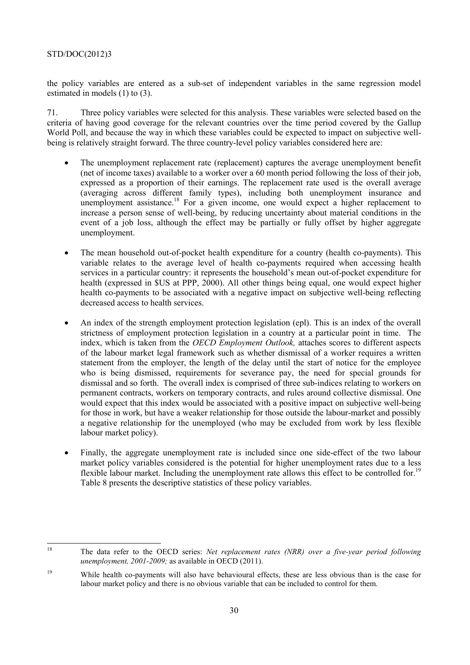the policy variables are entered as a sub-set of independent variables in the same regression model estimated in models (1) to (3).

71. Three policy variables were selected for this analysis. These variables were selected based on the criteria of having good coverage for the relevant countries over the time period covered by the Gallup World Poll, and because the way in which these variables could be expected to impact on subjective wellbeing is relatively straight forward. The three country-level policy variables considered here are:

- The unemployment replacement rate (replacement) captures the average unemployment benefit (net of income taxes) available to a worker over a 60 month period following the loss of their job, expressed as a proportion of their earnings. The replacement rate used is the overall average (averaging across different family types), including both unemployment insurance and unemployment assistance.<sup>18</sup> For a given income, one would expect a higher replacement to increase a person sense of well-being, by reducing uncertainty about material conditions in the event of a job loss, although the effect may be partially or fully offset by higher aggregate unemployment.
- The mean household out-of-pocket health expenditure for a country (health co-payments). This variable relates to the average level of health co-payments required when accessing health services in a particular country: it represents the household's mean out-of-pocket expenditure for health (expressed in \$US at PPP, 2000). All other things being equal, one would expect higher health co-payments to be associated with a negative impact on subjective well-being reflecting decreased access to health services.
- An index of the strength employment protection legislation (epl). This is an index of the overall strictness of employment protection legislation in a country at a particular point in time. The index, which is taken from the *OECD Employment Outlook,* attaches scores to different aspects of the labour market legal framework such as whether dismissal of a worker requires a written statement from the employer, the length of the delay until the start of notice for the employee who is being dismissed, requirements for severance pay, the need for special grounds for dismissal and so forth. The overall index is comprised of three sub-indices relating to workers on permanent contracts, workers on temporary contracts, and rules around collective dismissal. One would expect that this index would be associated with a positive impact on subjective well-being for those in work, but have a weaker relationship for those outside the labour-market and possibly a negative relationship for the unemployed (who may be excluded from work by less flexible labour market policy).
- Finally, the aggregate unemployment rate is included since one side-effect of the two labour market policy variables considered is the potential for higher unemployment rates due to a less flexible labour market. Including the unemployment rate allows this effect to be controlled for.<sup>19</sup> Table 8 presents the descriptive statistics of these policy variables.

<sup>18</sup> 

<sup>18</sup> The data refer to the OECD series: *Net replacement rates (NRR) over a five-year period following unemployment, 2001-2009;* as available in OECD (2011).

<sup>&</sup>lt;sup>19</sup> While health co-payments will also have behavioural effects, these are less obvious than is the case for labour market policy and there is no obvious variable that can be included to control for them.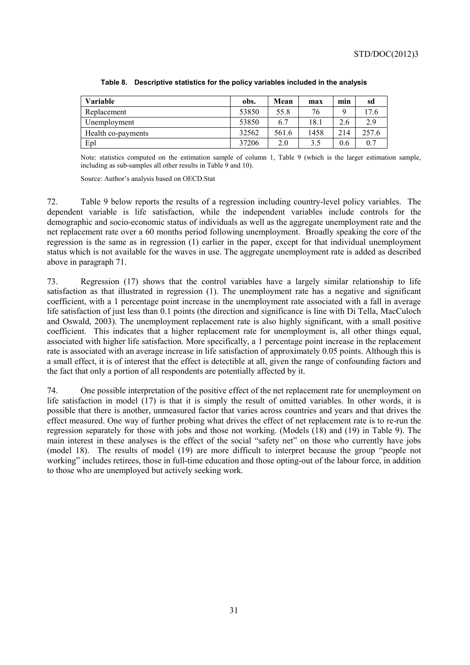| <b>Variable</b>    | obs.  | Mean  | max  | min | sd    |
|--------------------|-------|-------|------|-----|-------|
| Replacement        | 53850 | 55.8  | 76   | Q   | 17.6  |
| Unemployment       | 53850 | 6.7   | 18.1 | 2.6 | 2.9   |
| Health co-payments | 32562 | 561.6 | 1458 | 214 | 257.6 |
| Epl                | 37206 | 2.0   | 3.5  | 0.6 | 0.7   |

#### **Table 8. Descriptive statistics for the policy variables included in the analysis**

Note: statistics computed on the estimation sample of column 1, Table 9 (which is the larger estimation sample, including as sub-samples all other results in Table 9 and 10).

Source: Author's analysis based on OECD.Stat

72. Table 9 below reports the results of a regression including country-level policy variables. The dependent variable is life satisfaction, while the independent variables include controls for the demographic and socio-economic status of individuals as well as the aggregate unemployment rate and the net replacement rate over a 60 months period following unemployment. Broadly speaking the core of the regression is the same as in regression (1) earlier in the paper, except for that individual unemployment status which is not available for the waves in use. The aggregate unemployment rate is added as described above in paragraph 71.

73. Regression (17) shows that the control variables have a largely similar relationship to life satisfaction as that illustrated in regression (1). The unemployment rate has a negative and significant coefficient, with a 1 percentage point increase in the unemployment rate associated with a fall in average life satisfaction of just less than 0.1 points (the direction and significance is line with Di Tella, MacCuloch and Oswald, 2003). The unemployment replacement rate is also highly significant, with a small positive coefficient. This indicates that a higher replacement rate for unemployment is, all other things equal, associated with higher life satisfaction. More specifically, a 1 percentage point increase in the replacement rate is associated with an average increase in life satisfaction of approximately 0.05 points. Although this is a small effect, it is of interest that the effect is detectible at all, given the range of confounding factors and the fact that only a portion of all respondents are potentially affected by it.

74. One possible interpretation of the positive effect of the net replacement rate for unemployment on life satisfaction in model (17) is that it is simply the result of omitted variables. In other words, it is possible that there is another, unmeasured factor that varies across countries and years and that drives the effect measured. One way of further probing what drives the effect of net replacement rate is to re-run the regression separately for those with jobs and those not working. (Models (18) and (19) in Table 9). The main interest in these analyses is the effect of the social "safety net" on those who currently have jobs (model 18). The results of model (19) are more difficult to interpret because the group "people not working" includes retirees, those in full-time education and those opting-out of the labour force, in addition to those who are unemployed but actively seeking work.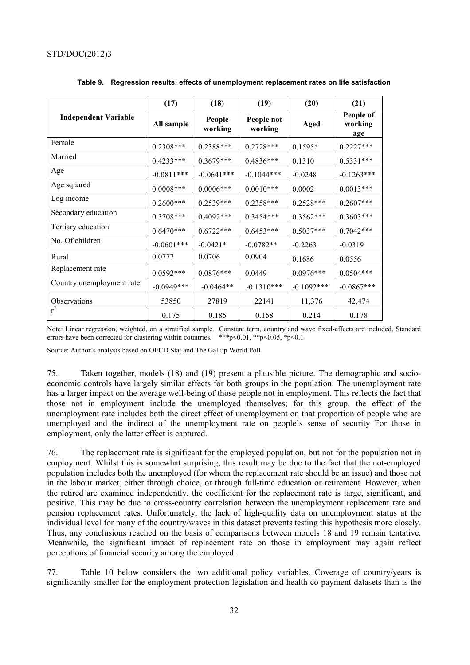|                             | (17)                            | (18)         | (19)                  | (20)          | (21)                        |
|-----------------------------|---------------------------------|--------------|-----------------------|---------------|-----------------------------|
| <b>Independent Variable</b> | People<br>All sample<br>working |              | People not<br>working | Aged          | People of<br>working<br>age |
| Female                      | $0.2308***$                     | $0.2388***$  | $0.2728***$           | $0.1595*$     | $0.2227***$                 |
| Married                     | $0.4233***$                     | $0.3679***$  | $0.4836***$           | 0.1310        | $0.5331***$                 |
| Age                         | $-0.0811***$                    | $-0.0641***$ | $-0.1044***$          | $-0.0248$     | $-0.1263***$                |
| Age squared                 | $0.0008***$                     | $0.0006***$  | $0.0010***$           | 0.0002        | $0.0013***$                 |
| Log income                  | $0.2600***$                     | $0.2539***$  | $0.2358***$           | $0.2528***$   | $0.2607***$                 |
| Secondary education         | $0.3708***$                     | $0.4092***$  | $0.3454***$           | $0.3562***$   | $0.3603***$                 |
| Tertiary education          | $0.6470***$                     | $0.6722***$  | $0.6453***$           | $0.5037***$   | $0.7042***$                 |
| No. Of children             | $-0.0601***$                    | $-0.0421*$   | $-0.0782**$           | $-0.2263$     | $-0.0319$                   |
| Rural                       | 0.0777                          | 0.0706       | 0.0904                | 0.1686        | 0.0556                      |
| Replacement rate            | $0.0592***$                     | $0.0876***$  | 0.0449                | $0.0976***$   | $0.0504***$                 |
| Country unemployment rate   | $-0.0949***$                    | $-0.0464**$  | $-0.1310***$          | $-0.1092$ *** | $-0.0867***$                |
| Observations                | 53850                           | 27819        | 22141                 | 11,376        | 42,474                      |
| $r^2$                       | 0.175                           | 0.185        | 0.158                 | 0.214         | 0.178                       |

|  |  | Table 9. Regression results: effects of unemployment replacement rates on life satisfaction |  |  |
|--|--|---------------------------------------------------------------------------------------------|--|--|
|--|--|---------------------------------------------------------------------------------------------|--|--|

Note: Linear regression, weighted, on a stratified sample. Constant term, country and wave fixed-effects are included. Standard errors have been corrected for clustering within countries. \*\*\*p<0.01, \*\*p<0.05, \*p<0.1

Source: Author's analysis based on OECD.Stat and The Gallup World Poll

75. Taken together, models (18) and (19) present a plausible picture. The demographic and socioeconomic controls have largely similar effects for both groups in the population. The unemployment rate has a larger impact on the average well-being of those people not in employment. This reflects the fact that those not in employment include the unemployed themselves; for this group, the effect of the unemployment rate includes both the direct effect of unemployment on that proportion of people who are unemployed and the indirect of the unemployment rate on people's sense of security For those in employment, only the latter effect is captured.

76. The replacement rate is significant for the employed population, but not for the population not in employment. Whilst this is somewhat surprising, this result may be due to the fact that the not-employed population includes both the unemployed (for whom the replacement rate should be an issue) and those not in the labour market, either through choice, or through full-time education or retirement. However, when the retired are examined independently, the coefficient for the replacement rate is large, significant, and positive. This may be due to cross-country correlation between the unemployment replacement rate and pension replacement rates. Unfortunately, the lack of high-quality data on unemployment status at the individual level for many of the country/waves in this dataset prevents testing this hypothesis more closely. Thus, any conclusions reached on the basis of comparisons between models 18 and 19 remain tentative. Meanwhile, the significant impact of replacement rate on those in employment may again reflect perceptions of financial security among the employed.

77. Table 10 below considers the two additional policy variables. Coverage of country/years is significantly smaller for the employment protection legislation and health co-payment datasets than is the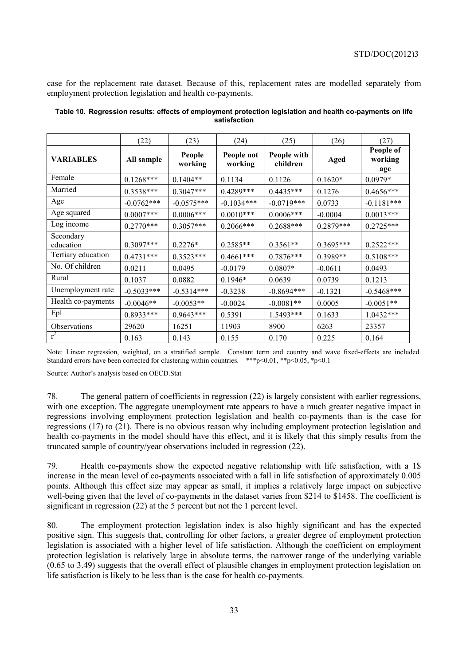case for the replacement rate dataset. Because of this, replacement rates are modelled separately from employment protection legislation and health co-payments.

|                        | (22)         | (23)              | (24)                  | (25)                    | (26)        | (27)                        |
|------------------------|--------------|-------------------|-----------------------|-------------------------|-------------|-----------------------------|
| <b>VARIABLES</b>       | All sample   | People<br>working | People not<br>working | People with<br>children | Aged        | People of<br>working<br>age |
| Female                 | $0.1268***$  | $0.1404**$        | 0.1134                | 0.1126                  | $0.1620*$   | $0.0979*$                   |
| Married                | $0.3538***$  | $0.3047***$       | $0.4289***$           | $0.4435***$             | 0.1276      | $0.4656***$                 |
| Age                    | $-0.0762***$ | $-0.0575***$      | $-0.1034***$          | $-0.0719***$            | 0.0733      | $-0.1181***$                |
| Age squared            | $0.0007***$  | $0.0006***$       | $0.0010***$           | $0.0006***$             | $-0.0004$   | $0.0013***$                 |
| Log income             | $0.2770***$  | $0.3057***$       | $0.2066$ ***          | $0.2688***$             | $0.2879***$ | $0.2725***$                 |
| Secondary<br>education | $0.3097***$  | $0.2276*$         | $0.2585**$            | $0.3561**$              | $0.3695***$ | $0.2522***$                 |
| Tertiary education     | $0.4731***$  | $0.3523***$       | $0.4661***$           | $0.7876***$             | $0.3989**$  | $0.5108***$                 |
| No. Of children        | 0.0211       | 0.0495            | $-0.0179$             | $0.0807*$               | $-0.0611$   | 0.0493                      |
| Rural                  | 0.1037       | 0.0882            | $0.1946*$             | 0.0639                  | 0.0739      | 0.1213                      |
| Unemployment rate      | $-0.5033***$ | $-0.5314***$      | $-0.3238$             | $-0.8694***$            | $-0.1321$   | $-0.5468***$                |
| Health co-payments     | $-0.0046**$  | $-0.0053**$       | $-0.0024$             | $-0.0081**$             | 0.0005      | $-0.0051**$                 |
| Epl                    | $0.8933***$  | $0.9643***$       | 0.5391                | 1.5493***               | 0.1633      | $1.0432***$                 |
| Observations           | 29620        | 16251             | 11903                 | 8900                    | 6263        | 23357                       |
| $r^2$                  | 0.163        | 0.143             | 0.155                 | 0.170                   | 0.225       | 0.164                       |

**Table 10. Regression results: effects of employment protection legislation and health co-payments on life satisfaction** 

Note: Linear regression, weighted, on a stratified sample. Constant term and country and wave fixed-effects are included. Standard errors have been corrected for clustering within countries. \*\*\*p<0.01, \*\*p<0.05, \*p<0.1

Source: Author's analysis based on OECD.Stat

78. The general pattern of coefficients in regression (22) is largely consistent with earlier regressions, with one exception. The aggregate unemployment rate appears to have a much greater negative impact in regressions involving employment protection legislation and health co-payments than is the case for regressions (17) to (21). There is no obvious reason why including employment protection legislation and health co-payments in the model should have this effect, and it is likely that this simply results from the truncated sample of country/year observations included in regression (22).

79. Health co-payments show the expected negative relationship with life satisfaction, with a 1\$ increase in the mean level of co-payments associated with a fall in life satisfaction of approximately 0.005 points. Although this effect size may appear as small, it implies a relatively large impact on subjective well-being given that the level of co-payments in the dataset varies from \$214 to \$1458. The coefficient is significant in regression (22) at the 5 percent but not the 1 percent level.

80. The employment protection legislation index is also highly significant and has the expected positive sign. This suggests that, controlling for other factors, a greater degree of employment protection legislation is associated with a higher level of life satisfaction. Although the coefficient on employment protection legislation is relatively large in absolute terms, the narrower range of the underlying variable (0.65 to 3.49) suggests that the overall effect of plausible changes in employment protection legislation on life satisfaction is likely to be less than is the case for health co-payments.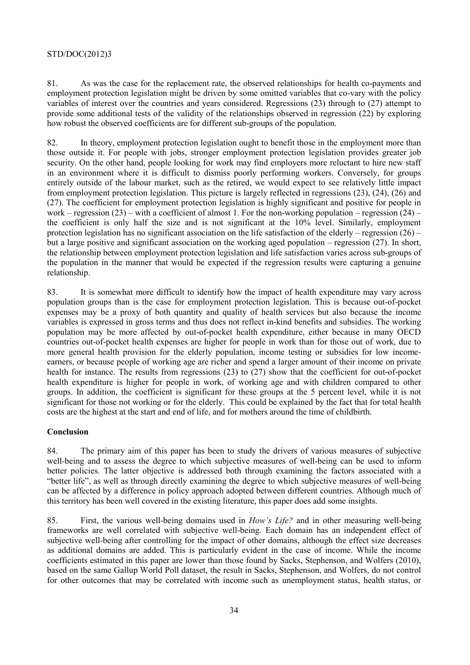81. As was the case for the replacement rate, the observed relationships for health co-payments and employment protection legislation might be driven by some omitted variables that co-vary with the policy variables of interest over the countries and years considered. Regressions (23) through to (27) attempt to provide some additional tests of the validity of the relationships observed in regression (22) by exploring how robust the observed coefficients are for different sub-groups of the population.

82. In theory, employment protection legislation ought to benefit those in the employment more than those outside it. For people with jobs, stronger employment protection legislation provides greater job security. On the other hand, people looking for work may find employers more reluctant to hire new staff in an environment where it is difficult to dismiss poorly performing workers. Conversely, for groups entirely outside of the labour market, such as the retired, we would expect to see relatively little impact from employment protection legislation. This picture is largely reflected in regressions (23), (24), (26) and (27). The coefficient for employment protection legislation is highly significant and positive for people in work – regression (23) – with a coefficient of almost 1. For the non-working population – regression  $(24)$  – the coefficient is only half the size and is not significant at the 10% level. Similarly, employment protection legislation has no significant association on the life satisfaction of the elderly – regression  $(26)$  – but a large positive and significant association on the working aged population – regression (27). In short, the relationship between employment protection legislation and life satisfaction varies across sub-groups of the population in the manner that would be expected if the regression results were capturing a genuine relationship.

83. It is somewhat more difficult to identify how the impact of health expenditure may vary across population groups than is the case for employment protection legislation. This is because out-of-pocket expenses may be a proxy of both quantity and quality of health services but also because the income variables is expressed in gross terms and thus does not reflect in-kind benefits and subsidies. The working population may be more affected by out-of-pocket health expenditure, either because in many OECD countries out-of-pocket health expenses are higher for people in work than for those out of work, due to more general health provision for the elderly population, income testing or subsidies for low incomeearners, or because people of working age are richer and spend a larger amount of their income on private health for instance. The results from regressions (23) to (27) show that the coefficient for out-of-pocket health expenditure is higher for people in work, of working age and with children compared to other groups. In addition, the coefficient is significant for these groups at the 5 percent level, while it is not significant for those not working or for the elderly. This could be explained by the fact that for total health costs are the highest at the start and end of life, and for mothers around the time of childbirth.

### **Conclusion**

84. The primary aim of this paper has been to study the drivers of various measures of subjective well-being and to assess the degree to which subjective measures of well-being can be used to inform better policies. The latter objective is addressed both through examining the factors associated with a "better life", as well as through directly examining the degree to which subjective measures of well-being can be affected by a difference in policy approach adopted between different countries. Although much of this territory has been well covered in the existing literature, this paper does add some insights.

85. First, the various well-being domains used in *How's Life?* and in other measuring well-being frameworks are well correlated with subjective well-being. Each domain has an independent effect of subjective well-being after controlling for the impact of other domains, although the effect size decreases as additional domains are added. This is particularly evident in the case of income. While the income coefficients estimated in this paper are lower than those found by Sacks, Stephenson, and Wolfers (2010), based on the same Gallup World Poll dataset, the result in Sacks, Stephenson, and Wolfers, do not control for other outcomes that may be correlated with income such as unemployment status, health status, or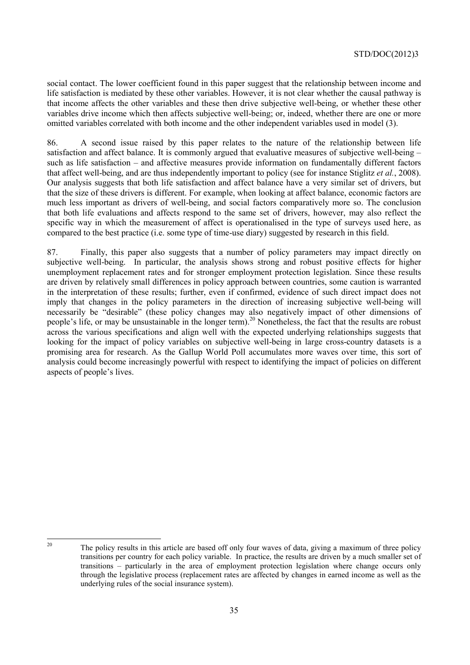social contact. The lower coefficient found in this paper suggest that the relationship between income and life satisfaction is mediated by these other variables. However, it is not clear whether the causal pathway is that income affects the other variables and these then drive subjective well-being, or whether these other variables drive income which then affects subjective well-being; or, indeed, whether there are one or more omitted variables correlated with both income and the other independent variables used in model (3).

86. A second issue raised by this paper relates to the nature of the relationship between life satisfaction and affect balance. It is commonly argued that evaluative measures of subjective well-being – such as life satisfaction – and affective measures provide information on fundamentally different factors that affect well-being, and are thus independently important to policy (see for instance Stiglitz *et al.*, 2008). Our analysis suggests that both life satisfaction and affect balance have a very similar set of drivers, but that the size of these drivers is different. For example, when looking at affect balance, economic factors are much less important as drivers of well-being, and social factors comparatively more so. The conclusion that both life evaluations and affects respond to the same set of drivers, however, may also reflect the specific way in which the measurement of affect is operationalised in the type of surveys used here, as compared to the best practice (i.e. some type of time-use diary) suggested by research in this field.

87. Finally, this paper also suggests that a number of policy parameters may impact directly on subjective well-being. In particular, the analysis shows strong and robust positive effects for higher unemployment replacement rates and for stronger employment protection legislation. Since these results are driven by relatively small differences in policy approach between countries, some caution is warranted in the interpretation of these results; further, even if confirmed, evidence of such direct impact does not imply that changes in the policy parameters in the direction of increasing subjective well-being will necessarily be "desirable" (these policy changes may also negatively impact of other dimensions of people's life, or may be unsustainable in the longer term).<sup>20</sup> Nonetheless, the fact that the results are robust across the various specifications and align well with the expected underlying relationships suggests that looking for the impact of policy variables on subjective well-being in large cross-country datasets is a promising area for research. As the Gallup World Poll accumulates more waves over time, this sort of analysis could become increasingly powerful with respect to identifying the impact of policies on different aspects of people's lives.

<sup>20</sup> The policy results in this article are based off only four waves of data, giving a maximum of three policy transitions per country for each policy variable. In practice, the results are driven by a much smaller set of transitions – particularly in the area of employment protection legislation where change occurs only through the legislative process (replacement rates are affected by changes in earned income as well as the underlying rules of the social insurance system).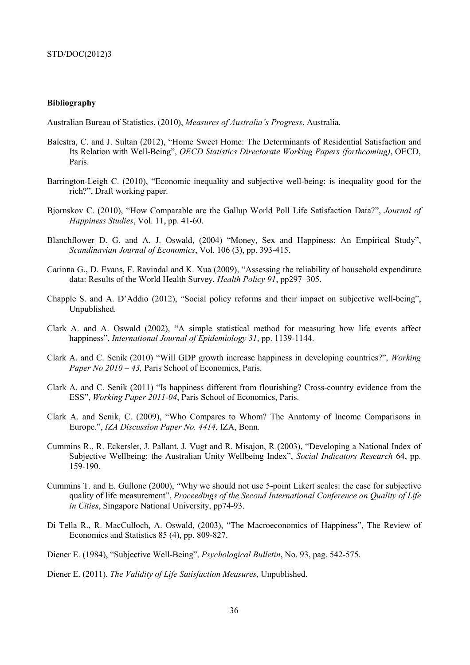#### **Bibliography**

Australian Bureau of Statistics, (2010), *Measures of Australia's Progress*, Australia.

- Balestra, C. and J. Sultan (2012), "Home Sweet Home: The Determinants of Residential Satisfaction and Its Relation with Well-Being", *OECD Statistics Directorate Working Papers (forthcoming)*, OECD, Paris.
- Barrington-Leigh C. (2010), "Economic inequality and subjective well-being: is inequality good for the rich?", Draft working paper.
- Bjornskov C. (2010), "How Comparable are the Gallup World Poll Life Satisfaction Data?", *Journal of Happiness Studies*, Vol. 11, pp. 41-60.
- Blanchflower D. G. and A. J. Oswald, (2004) "Money, Sex and Happiness: An Empirical Study", *Scandinavian Journal of Economics*, Vol. 106 (3), pp. 393-415.
- Carinna G., D. Evans, F. Ravindal and K. Xua (2009), "Assessing the reliability of household expenditure data: Results of the World Health Survey, *Health Policy 91*, pp297–305.
- Chapple S. and A. D'Addio (2012), "Social policy reforms and their impact on subjective well-being", Unpublished.
- Clark A. and A. Oswald (2002), "A simple statistical method for measuring how life events affect happiness", *International Journal of Epidemiology 31*, pp. 1139-1144.
- Clark A. and C. Senik (2010) "Will GDP growth increase happiness in developing countries?", *Working Paper No 2010 – 43,* Paris School of Economics, Paris.
- Clark A. and C. Senik (2011) "Is happiness different from flourishing? Cross-country evidence from the ESS", *Working Paper 2011-04*, Paris School of Economics, Paris.
- Clark A. and Senik, C. (2009), "Who Compares to Whom? The Anatomy of Income Comparisons in Europe.", *IZA Discussion Paper No. 4414,* IZA, Bonn*.*
- Cummins R., R. Eckerslet, J. Pallant, J. Vugt and R. Misajon, R (2003), "Developing a National Index of Subjective Wellbeing: the Australian Unity Wellbeing Index", *Social Indicators Research* 64, pp. 159-190.
- Cummins T. and E. Gullone (2000), "Why we should not use 5-point Likert scales: the case for subjective quality of life measurement", *Proceedings of the Second International Conference on Quality of Life in Cities*, Singapore National University, pp74-93.
- Di Tella R., R. MacCulloch, A. Oswald, (2003), "The Macroeconomics of Happiness", The Review of Economics and Statistics 85 (4), pp. 809-827.
- Diener E. (1984), "Subjective Well-Being", *Psychological Bulletin*, No. 93, pag. 542-575.

Diener E. (2011), *The Validity of Life Satisfaction Measures*, Unpublished.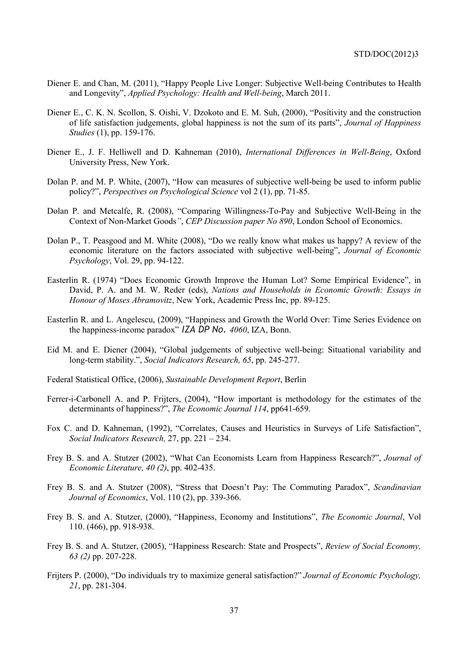- Diener E. and Chan, M. (2011), "Happy People Live Longer: Subjective Well-being Contributes to Health and Longevity", *Applied Psychology: Health and Well-being*, March 2011.
- Diener E., C. K. N. Scollon, S. Oishi, V. Dzokoto and E. M. Suh, (2000), "Positivity and the construction of life satisfaction judgements, global happiness is not the sum of its parts", *Journal of Happiness Studies* (1), pp. 159-176.
- Diener E., J. F. Helliwell and D. Kahneman (2010), *International Differences in Well-Being*, Oxford University Press, New York.
- Dolan P. and M. P. White, (2007), "How can measures of subjective well-being be used to inform public policy?", *Perspectives on Psychological Science* vol 2 (1), pp. 71-85.
- Dolan P. and Metcalfe, R. (2008), "Comparing Willingness-To-Pay and Subjective Well-Being in the Context of Non-Market Goods*"*, *CEP Discussion paper No 890*, London School of Economics.
- Dolan P., T. Peasgood and M. White (2008), "Do we really know what makes us happy? A review of the economic literature on the factors associated with subjective well-being", *Journal of Economic Psychology*, Vol. 29, pp. 94-122.
- Easterlin R. (1974) "Does Economic Growth Improve the Human Lot? Some Empirical Evidence", in David, P. A. and M. W. Reder (eds), *Nations and Households in Economic Growth: Essays in Honour of Moses Abramovitz*, New York, Academic Press Inc, pp. 89-125.
- Easterlin R. and L. Angelescu, (2009), "Happiness and Growth the World Over: Time Series Evidence on the happiness-income paradox" *IZA DP No. 4060*, IZA, Bonn.
- Eid M. and E. Diener (2004), "Global judgements of subjective well-being: Situational variability and long-term stability.", *Social Indicators Research, 65*, pp. 245-277.
- Federal Statistical Office, (2006), *Sustainable Development Report*, Berlin
- Ferrer-i-Carbonell A. and P. Frijters, (2004), "How important is methodology for the estimates of the determinants of happiness?", *The Economic Journal 114*, pp641-659.
- Fox C. and D. Kahneman, (1992), "Correlates, Causes and Heuristics in Surveys of Life Satisfaction", *Social Indicators Research,* 27, pp. 221 – 234.
- Frey B. S. and A. Stutzer (2002), "What Can Economists Learn from Happiness Research?", *Journal of Economic Literature, 40 (2)*, pp. 402-435.
- Frey B. S. and A. Stutzer (2008), "Stress that Doesn't Pay: The Commuting Paradox", *Scandinavian Journal of Economics*, Vol. 110 (2), pp. 339-366.
- Frey B. S. and A. Stutzer, (2000), "Happiness, Economy and Institutions", *The Economic Journal*, Vol 110. (466), pp. 918-938.
- Frey B. S. and A. Stutzer, (2005), "Happiness Research: State and Prospects", *Review of Social Economy, 63 (2)* pp. 207-228.
- Frijters P. (2000), "Do individuals try to maximize general satisfaction?" *Journal of Economic Psychology, 21*, pp. 281-304.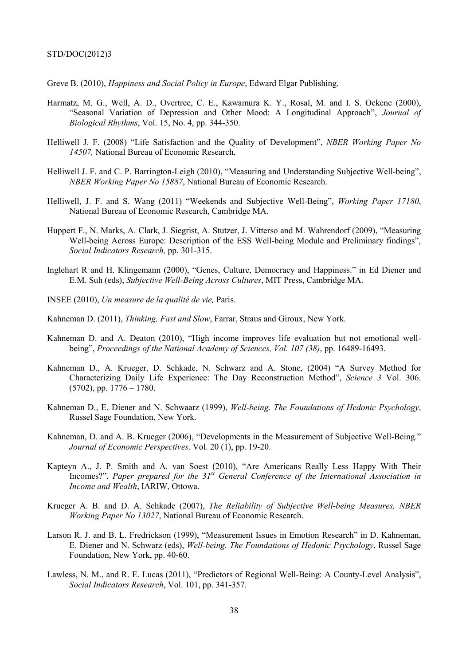Greve B. (2010), *Happiness and Social Policy in Europe*, Edward Elgar Publishing.

- Harmatz, M. G., Well, A. D., Overtree, C. E., Kawamura K. Y., Rosal, M. and I. S. Ockene (2000), "Seasonal Variation of Depression and Other Mood: A Longitudinal Approach", *Journal of Biological Rhythms*, Vol. 15, No. 4, pp. 344-350.
- Helliwell J. F. (2008) "Life Satisfaction and the Quality of Development", *NBER Working Paper No 14507,* National Bureau of Economic Research.
- Helliwell J. F. and C. P. Barrington-Leigh (2010), "Measuring and Understanding Subjective Well-being", *NBER Working Paper No 15887*, National Bureau of Economic Research.
- Helliwell, J. F. and S. Wang (2011) "Weekends and Subjective Well-Being", *Working Paper 17180*, National Bureau of Economic Research, Cambridge MA.
- Huppert F., N. Marks, A. Clark, J. Siegrist, A. Stutzer, J. Vitterso and M. Wahrendorf (2009), "Measuring Well-being Across Europe: Description of the ESS Well-being Module and Preliminary findings", *Social Indicators Research,* pp. 301-315.
- Inglehart R and H. Klingemann (2000), "Genes, Culture, Democracy and Happiness." in Ed Diener and E.M. Suh (eds), *Subjective Well-Being Across Cultures*, MIT Press, Cambridge MA.
- INSEE (2010), *Un measure de la qualité de vie,* Paris.
- Kahneman D. (2011), *Thinking, Fast and Slow*, Farrar, Straus and Giroux, New York.
- Kahneman D. and A. Deaton (2010), "High income improves life evaluation but not emotional wellbeing", *Proceedings of the National Academy of Sciences, Vol. 107 (38)*, pp. 16489-16493.
- Kahneman D., A. Krueger, D. Schkade, N. Schwarz and A. Stone, (2004) "A Survey Method for Characterizing Daily Life Experience: The Day Reconstruction Method", *Science 3* Vol. 306.  $(5702)$ , pp.  $1776 - 1780$ .
- Kahneman D., E. Diener and N. Schwaarz (1999), *Well-being. The Foundations of Hedonic Psychology*, Russel Sage Foundation, New York.
- Kahneman, D. and A. B. Krueger (2006), "Developments in the Measurement of Subjective Well-Being." *Journal of Economic Perspectives,* Vol. 20 (1), pp. 19-20.
- Kapteyn A., J. P. Smith and A. van Soest (2010), "Are Americans Really Less Happy With Their Incomes?", Paper prepared for the 31<sup>st</sup> General Conference of the International Association in *Income and Wealth*, IARIW, Ottowa.
- Krueger A. B. and D. A. Schkade (2007), *The Reliability of Subjective Well-being Measures, NBER Working Paper No 13027*, National Bureau of Economic Research.
- Larson R. J. and B. L. Fredrickson (1999), "Measurement Issues in Emotion Research" in D. Kahneman, E. Diener and N. Schwarz (eds), *Well-being. The Foundations of Hedonic Psychology*, Russel Sage Foundation, New York, pp. 40-60.
- Lawless, N. M., and R. E. Lucas (2011), "Predictors of Regional Well-Being: A County-Level Analysis", *Social Indicators Research*, Vol. 101, pp. 341-357.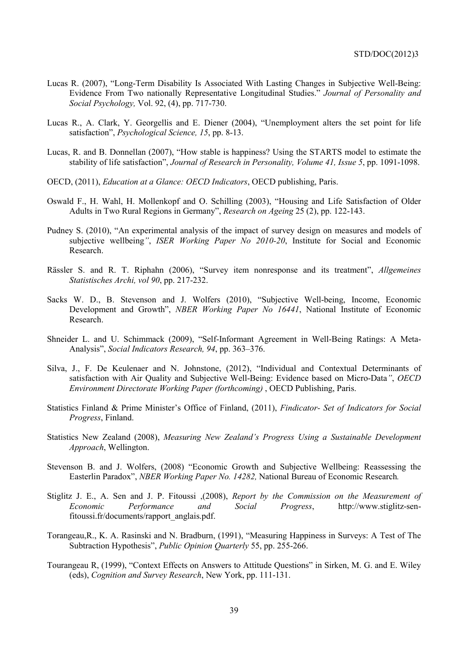- Lucas R. (2007), "Long-Term Disability Is Associated With Lasting Changes in Subjective Well-Being: Evidence From Two nationally Representative Longitudinal Studies." *Journal of Personality and Social Psychology,* Vol. 92, (4), pp. 717-730.
- Lucas R., A. Clark, Y. Georgellis and E. Diener (2004), "Unemployment alters the set point for life satisfaction", *Psychological Science, 15*, pp. 8-13.
- Lucas, R. and B. Donnellan (2007), "How stable is happiness? Using the STARTS model to estimate the stability of life satisfaction", *Journal of Research in Personality, Volume 41, Issue 5*, pp. 1091-1098.
- OECD, (2011), *Education at a Glance: OECD Indicators*, OECD publishing, Paris.
- Oswald F., H. Wahl, H. Mollenkopf and O. Schilling (2003), "Housing and Life Satisfaction of Older Adults in Two Rural Regions in Germany", *Research on Ageing* 25 (2), pp. 122-143.
- Pudney S. (2010), "An experimental analysis of the impact of survey design on measures and models of subjective wellbeing*"*, *ISER Working Paper No 2010-20*, Institute for Social and Economic Research.
- Rässler S. and R. T. Riphahn (2006), "Survey item nonresponse and its treatment", *Allgemeines Statistisches Archi, vol 90*, pp. 217-232.
- Sacks W. D., B. Stevenson and J. Wolfers (2010), "Subjective Well-being, Income, Economic Development and Growth", *NBER Working Paper No 16441*, National Institute of Economic Research.
- Shneider L. and U. Schimmack (2009), "Self-Informant Agreement in Well-Being Ratings: A Meta-Analysis", *Social Indicators Research, 94*, pp. 363–376.
- Silva, J., F. De Keulenaer and N. Johnstone, (2012), "Individual and Contextual Determinants of satisfaction with Air Quality and Subjective Well-Being: Evidence based on Micro-Data*"*, *OECD Environment Directorate Working Paper (forthcoming)* , OECD Publishing, Paris.
- Statistics Finland & Prime Minister's Office of Finland, (2011), *Findicator- Set of Indicators for Social Progress*, Finland.
- Statistics New Zealand (2008), *Measuring New Zealand's Progress Using a Sustainable Development Approach*, Wellington.
- Stevenson B. and J. Wolfers, (2008) "Economic Growth and Subjective Wellbeing: Reassessing the Easterlin Paradox", *NBER Working Paper No. 14282,* National Bureau of Economic Research*.*
- Stiglitz J. E., A. Sen and J. P. Fitoussi ,(2008), *Report by the Commission on the Measurement of Economic Performance and Social Progress*, http://www.stiglitz-senfitoussi.fr/documents/rapport\_anglais.pdf.
- Torangeau,R., K. A. Rasinski and N. Bradburn, (1991), "Measuring Happiness in Surveys: A Test of The Subtraction Hypothesis", *Public Opinion Quarterly* 55, pp. 255-266.
- Tourangeau R, (1999), "Context Effects on Answers to Attitude Questions" in Sirken, M. G. and E. Wiley (eds), *Cognition and Survey Research*, New York, pp. 111-131.